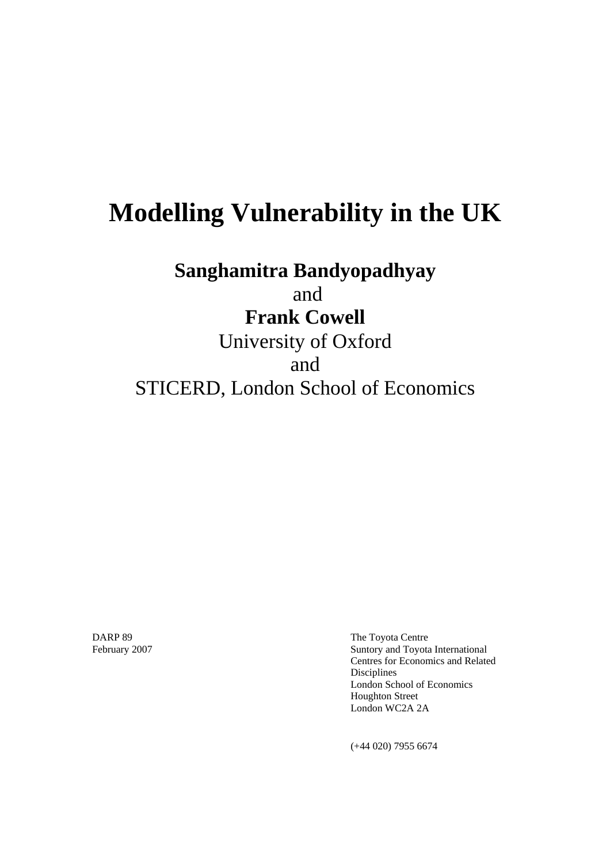# **Modelling Vulnerability in the UK**

**Sanghamitra Bandyopadhyay** 

and

## **Frank Cowell**

University of Oxford and STICERD, London School of Economics

DARP 89 **The Toyota Centre** February 2007 Suntory and Toyota International Centres for Economics and Related Disciplines London School of Economics Houghton Street London WC2A 2A

(+44 020) 7955 6674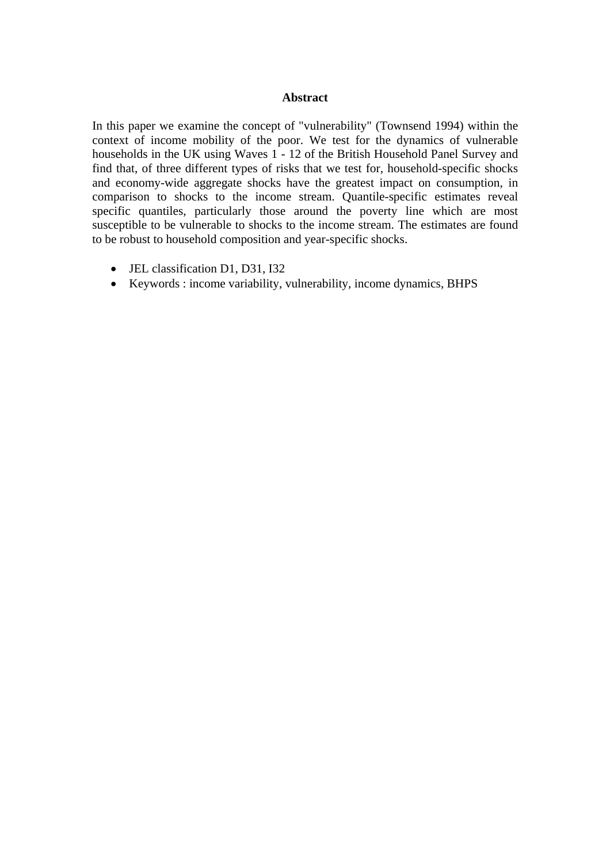#### **Abstract**

In this paper we examine the concept of "vulnerability" (Townsend 1994) within the context of income mobility of the poor. We test for the dynamics of vulnerable households in the UK using Waves 1 - 12 of the British Household Panel Survey and find that, of three different types of risks that we test for, household-specific shocks and economy-wide aggregate shocks have the greatest impact on consumption, in comparison to shocks to the income stream. Quantile-specific estimates reveal specific quantiles, particularly those around the poverty line which are most susceptible to be vulnerable to shocks to the income stream. The estimates are found to be robust to household composition and year-specific shocks.

- JEL classification D1, D31, I32
- Keywords : income variability, vulnerability, income dynamics, BHPS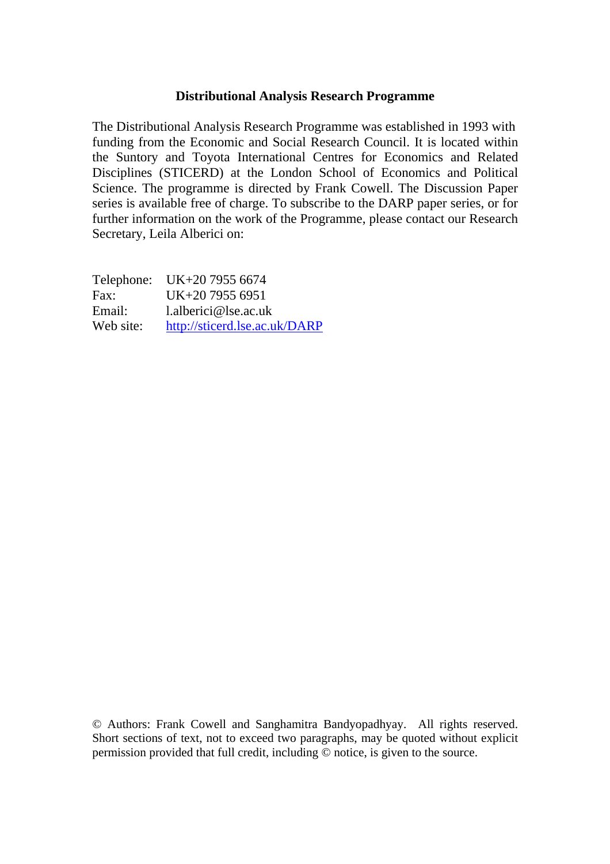#### **Distributional Analysis Research Programme**

The Distributional Analysis Research Programme was established in 1993 with funding from the Economic and Social Research Council. It is located within the Suntory and Toyota International Centres for Economics and Related Disciplines (STICERD) at the London School of Economics and Political Science. The programme is directed by Frank Cowell. The Discussion Paper series is available free of charge. To subscribe to the DARP paper series, or for further information on the work of the Programme, please contact our Research Secretary, Leila Alberici on:

|           | Telephone: UK+20 7955 6674    |
|-----------|-------------------------------|
| Fax:      | UK+20 7955 6951               |
| Email:    | $l.$ alberici@lse.ac.uk       |
| Web site: | http://sticerd.lse.ac.uk/DARP |

© Authors: Frank Cowell and Sanghamitra Bandyopadhyay. All rights reserved. Short sections of text, not to exceed two paragraphs, may be quoted without explicit permission provided that full credit, including © notice, is given to the source.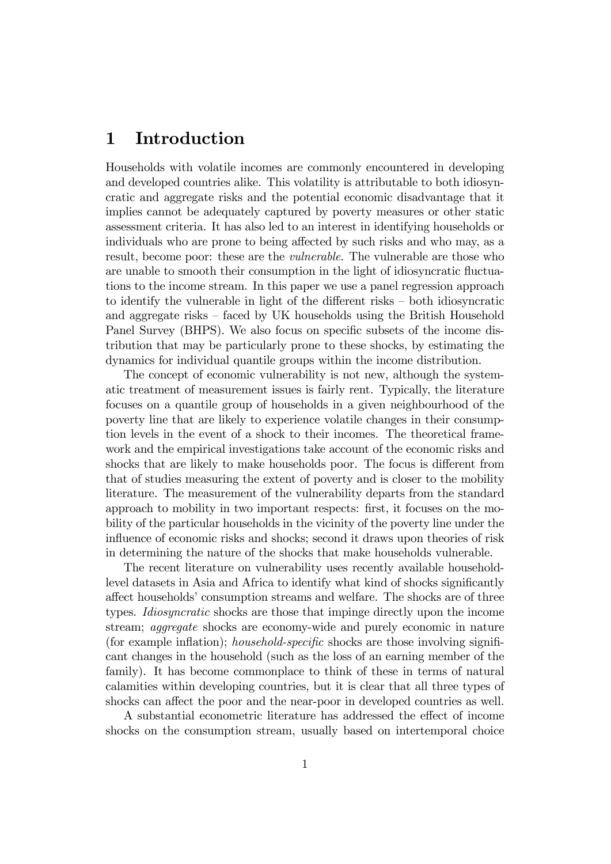### 1 Introduction

Households with volatile incomes are commonly encountered in developing and developed countries alike. This volatility is attributable to both idiosyncratic and aggregate risks and the potential economic disadvantage that it implies cannot be adequately captured by poverty measures or other static assessment criteria. It has also led to an interest in identifying households or individuals who are prone to being affected by such risks and who may, as a result, become poor: these are the vulnerable. The vulnerable are those who are unable to smooth their consumption in the light of idiosyncratic fluctuations to the income stream. In this paper we use a panel regression approach to identify the vulnerable in light of the different risks  $-$  both idiosyncratic and aggregate risks  $\overline{\phantom{a}}$  faced by UK households using the British Household Panel Survey (BHPS). We also focus on specific subsets of the income distribution that may be particularly prone to these shocks, by estimating the dynamics for individual quantile groups within the income distribution.

The concept of economic vulnerability is not new, although the systematic treatment of measurement issues is fairly rent. Typically, the literature focuses on a quantile group of households in a given neighbourhood of the poverty line that are likely to experience volatile changes in their consumption levels in the event of a shock to their incomes. The theoretical framework and the empirical investigations take account of the economic risks and shocks that are likely to make households poor. The focus is different from that of studies measuring the extent of poverty and is closer to the mobility literature. The measurement of the vulnerability departs from the standard approach to mobility in two important respects: first, it focuses on the mobility of the particular households in the vicinity of the poverty line under the influence of economic risks and shocks; second it draws upon theories of risk in determining the nature of the shocks that make households vulnerable.

The recent literature on vulnerability uses recently available householdlevel datasets in Asia and Africa to identify what kind of shocks significantly affect households' consumption streams and welfare. The shocks are of three types. Idiosyncratic shocks are those that impinge directly upon the income stream; aggregate shocks are economy-wide and purely economic in nature (for example inflation); *household-specific* shocks are those involving significant changes in the household (such as the loss of an earning member of the family). It has become commonplace to think of these in terms of natural calamities within developing countries, but it is clear that all three types of shocks can affect the poor and the near-poor in developed countries as well.

A substantial econometric literature has addressed the effect of income shocks on the consumption stream, usually based on intertemporal choice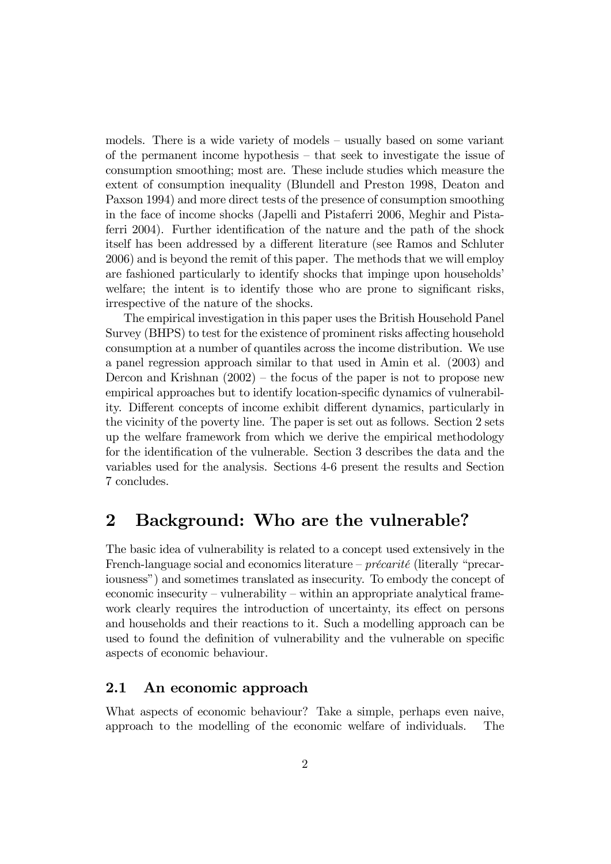models. There is a wide variety of models  $-$  usually based on some variant of the permanent income hypothesis  $-$  that seek to investigate the issue of consumption smoothing; most are. These include studies which measure the extent of consumption inequality (Blundell and Preston 1998, Deaton and Paxson 1994) and more direct tests of the presence of consumption smoothing in the face of income shocks (Japelli and Pistaferri 2006, Meghir and Pistaferri 2004). Further identification of the nature and the path of the shock itself has been addressed by a different literature (see Ramos and Schluter 2006) and is beyond the remit of this paper. The methods that we will employ are fashioned particularly to identify shocks that impinge upon households<sup>'</sup> welfare; the intent is to identify those who are prone to significant risks, irrespective of the nature of the shocks.

The empirical investigation in this paper uses the British Household Panel Survey (BHPS) to test for the existence of prominent risks affecting household consumption at a number of quantiles across the income distribution. We use a panel regression approach similar to that used in Amin et al. (2003) and Dercon and Krishnan  $(2002)$  – the focus of the paper is not to propose new empirical approaches but to identify location-specific dynamics of vulnerability. Different concepts of income exhibit different dynamics, particularly in the vicinity of the poverty line. The paper is set out as follows. Section 2 sets up the welfare framework from which we derive the empirical methodology for the identification of the vulnerable. Section 3 describes the data and the variables used for the analysis. Sections 4-6 present the results and Section 7 concludes.

### 2 Background: Who are the vulnerable?

The basic idea of vulnerability is related to a concept used extensively in the French-language social and economics literature  $-$  précarité (literally "precariousnessî) and sometimes translated as insecurity. To embody the concept of economic insecurity – vulnerability – within an appropriate analytical framework clearly requires the introduction of uncertainty, its effect on persons and households and their reactions to it. Such a modelling approach can be used to found the definition of vulnerability and the vulnerable on specific aspects of economic behaviour.

#### 2.1 An economic approach

What aspects of economic behaviour? Take a simple, perhaps even naive, approach to the modelling of the economic welfare of individuals. The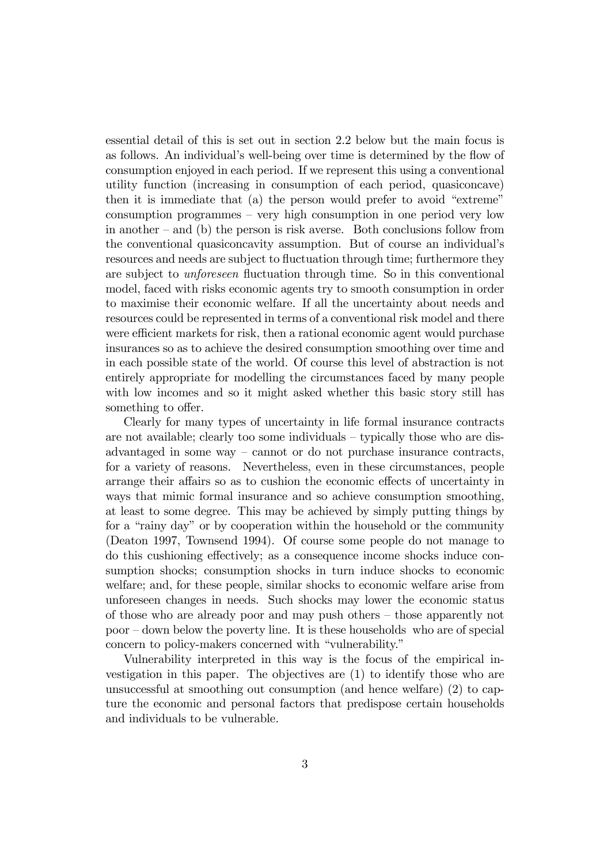essential detail of this is set out in section 2.2 below but the main focus is as follows. An individual's well-being over time is determined by the flow of consumption enjoyed in each period. If we represent this using a conventional utility function (increasing in consumption of each period, quasiconcave) then it is immediate that  $(a)$  the person would prefer to avoid "extreme"  $\alpha$  consumption programmes – very high consumption in one period very low in another  $-\text{ and }$  (b) the person is risk averse. Both conclusions follow from the conventional quasiconcavity assumption. But of course an individualís resources and needs are subject to fluctuation through time; furthermore they are subject to *unforeseen* fluctuation through time. So in this conventional model, faced with risks economic agents try to smooth consumption in order to maximise their economic welfare. If all the uncertainty about needs and resources could be represented in terms of a conventional risk model and there were efficient markets for risk, then a rational economic agent would purchase insurances so as to achieve the desired consumption smoothing over time and in each possible state of the world. Of course this level of abstraction is not entirely appropriate for modelling the circumstances faced by many people with low incomes and so it might asked whether this basic story still has something to offer.

Clearly for many types of uncertainty in life formal insurance contracts are not available; clearly too some individuals  $-$  typically those who are disadvantaged in some way  $-$  cannot or do not purchase insurance contracts, for a variety of reasons. Nevertheless, even in these circumstances, people arrange their affairs so as to cushion the economic effects of uncertainty in ways that mimic formal insurance and so achieve consumption smoothing, at least to some degree. This may be achieved by simply putting things by for a "rainy day" or by cooperation within the household or the community (Deaton 1997, Townsend 1994). Of course some people do not manage to do this cushioning effectively; as a consequence income shocks induce consumption shocks; consumption shocks in turn induce shocks to economic welfare; and, for these people, similar shocks to economic welfare arise from unforeseen changes in needs. Such shocks may lower the economic status of those who are already poor and may push others  $-\theta$  those apparently not  $poor$  – down below the poverty line. It is these households who are of special concern to policy-makers concerned with "vulnerability."

Vulnerability interpreted in this way is the focus of the empirical investigation in this paper. The objectives are (1) to identify those who are unsuccessful at smoothing out consumption (and hence welfare) (2) to capture the economic and personal factors that predispose certain households and individuals to be vulnerable.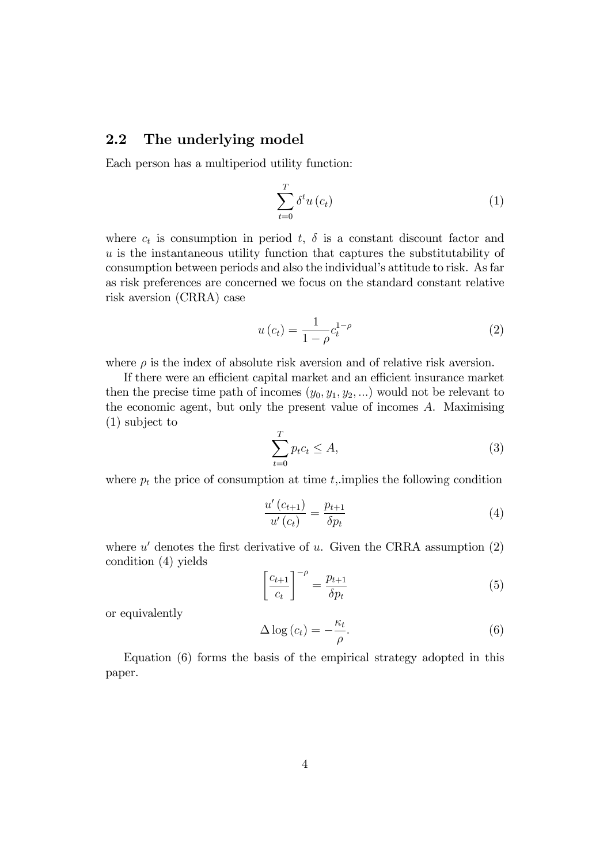#### 2.2 The underlying model

Each person has a multiperiod utility function:

$$
\sum_{t=0}^{T} \delta^t u\left(c_t\right) \tag{1}
$$

where  $c_t$  is consumption in period  $t$ ,  $\delta$  is a constant discount factor and  $u$  is the instantaneous utility function that captures the substitutability of consumption between periods and also the individual's attitude to risk. As far as risk preferences are concerned we focus on the standard constant relative risk aversion (CRRA) case

$$
u\left(c_{t}\right) = \frac{1}{1 - \rho} c_{t}^{1 - \rho} \tag{2}
$$

where  $\rho$  is the index of absolute risk aversion and of relative risk aversion.

If there were an efficient capital market and an efficient insurance market then the precise time path of incomes  $(y_0, y_1, y_2, ...)$  would not be relevant to the economic agent, but only the present value of incomes A. Maximising (1) subject to

$$
\sum_{t=0}^{T} p_t c_t \le A,\tag{3}
$$

where  $p_t$  the price of consumption at time  $t$ , implies the following condition

$$
\frac{u'(c_{t+1})}{u'(c_t)} = \frac{p_{t+1}}{\delta p_t} \tag{4}
$$

where  $u'$  denotes the first derivative of u. Given the CRRA assumption  $(2)$ condition (4) yields

$$
\left[\frac{c_{t+1}}{c_t}\right]^{-\rho} = \frac{p_{t+1}}{\delta p_t} \tag{5}
$$

or equivalently

$$
\Delta \log \left( c_t \right) = -\frac{\kappa_t}{\rho}.\tag{6}
$$

Equation (6) forms the basis of the empirical strategy adopted in this paper.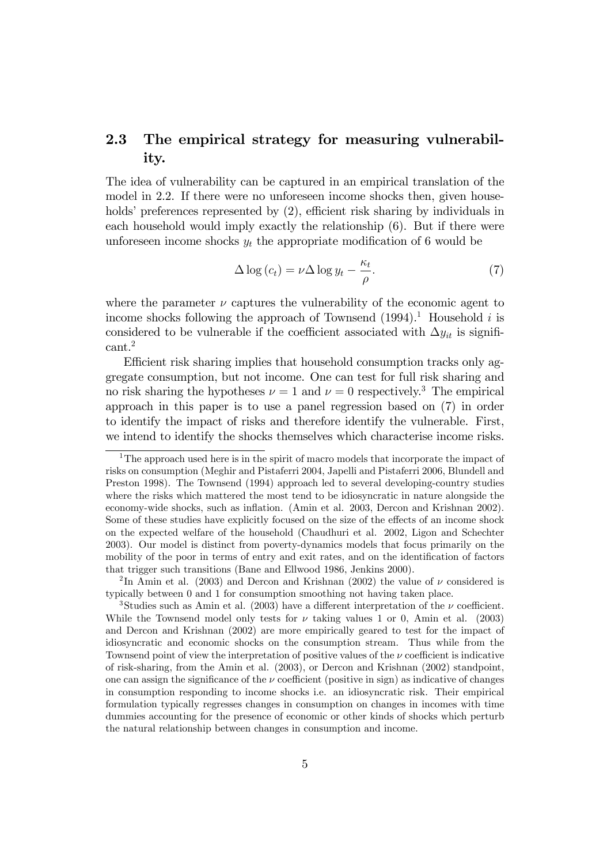### 2.3 The empirical strategy for measuring vulnerability.

The idea of vulnerability can be captured in an empirical translation of the model in 2.2. If there were no unforeseen income shocks then, given households' preferences represented by  $(2)$ , efficient risk sharing by individuals in each household would imply exactly the relationship (6). But if there were unforeseen income shocks  $y_t$  the appropriate modification of 6 would be

$$
\Delta \log \left( c_t \right) = \nu \Delta \log y_t - \frac{\kappa_t}{\rho}.\tag{7}
$$

where the parameter  $\nu$  captures the vulnerability of the economic agent to income shocks following the approach of Townsend  $(1994)^{1}$ . Household i is considered to be vulnerable if the coefficient associated with  $\Delta y_{it}$  is significant.<sup>2</sup>

Efficient risk sharing implies that household consumption tracks only aggregate consumption, but not income. One can test for full risk sharing and no risk sharing the hypotheses  $\nu = 1$  and  $\nu = 0$  respectively.<sup>3</sup> The empirical approach in this paper is to use a panel regression based on (7) in order to identify the impact of risks and therefore identify the vulnerable. First, we intend to identify the shocks themselves which characterise income risks.

<sup>&</sup>lt;sup>1</sup>The approach used here is in the spirit of macro models that incorporate the impact of risks on consumption (Meghir and Pistaferri 2004, Japelli and Pistaferri 2006, Blundell and Preston 1998). The Townsend (1994) approach led to several developing-country studies where the risks which mattered the most tend to be idiosyncratic in nature alongside the economy-wide shocks, such as inflation. (Amin et al. 2003, Dercon and Krishnan 2002). Some of these studies have explicitly focused on the size of the effects of an income shock on the expected welfare of the household (Chaudhuri et al. 2002, Ligon and Schechter 2003). Our model is distinct from poverty-dynamics models that focus primarily on the mobility of the poor in terms of entry and exit rates, and on the identification of factors that trigger such transitions (Bane and Ellwood 1986, Jenkins 2000).

<sup>&</sup>lt;sup>2</sup>In Amin et al. (2003) and Dercon and Krishnan (2002) the value of  $\nu$  considered is typically between 0 and 1 for consumption smoothing not having taken place.

<sup>&</sup>lt;sup>3</sup>Studies such as Amin et al. (2003) have a different interpretation of the  $\nu$  coefficient. While the Townsend model only tests for  $\nu$  taking values 1 or 0, Amin et al. (2003) and Dercon and Krishnan (2002) are more empirically geared to test for the impact of idiosyncratic and economic shocks on the consumption stream. Thus while from the Townsend point of view the interpretation of positive values of the  $\nu$  coefficient is indicative of risk-sharing, from the Amin et al. (2003), or Dercon and Krishnan (2002) standpoint, one can assign the significance of the  $\nu$  coefficient (positive in sign) as indicative of changes in consumption responding to income shocks i.e. an idiosyncratic risk. Their empirical formulation typically regresses changes in consumption on changes in incomes with time dummies accounting for the presence of economic or other kinds of shocks which perturb the natural relationship between changes in consumption and income.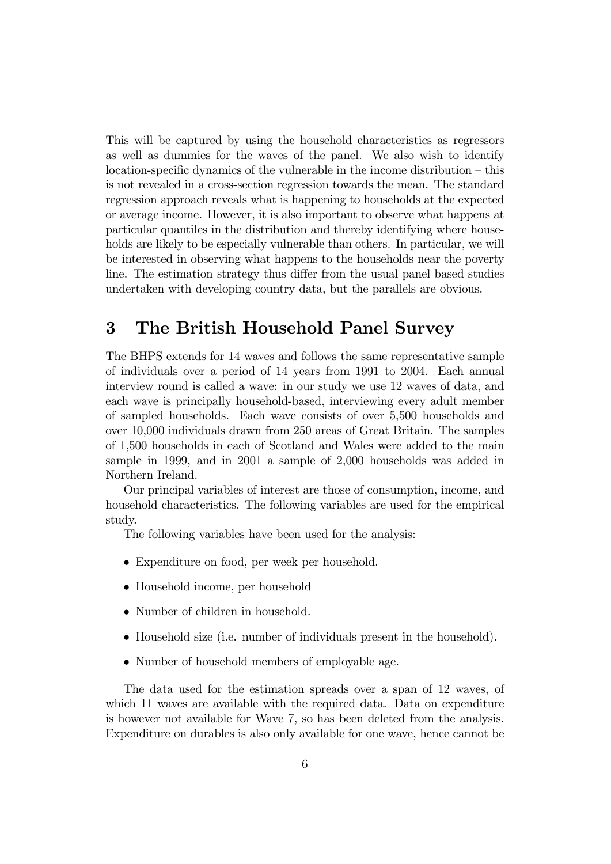This will be captured by using the household characteristics as regressors as well as dummies for the waves of the panel. We also wish to identify  $location-specific dynamics of the vulnerable in the income distribution – this$ is not revealed in a cross-section regression towards the mean. The standard regression approach reveals what is happening to households at the expected or average income. However, it is also important to observe what happens at particular quantiles in the distribution and thereby identifying where households are likely to be especially vulnerable than others. In particular, we will be interested in observing what happens to the households near the poverty line. The estimation strategy thus differ from the usual panel based studies undertaken with developing country data, but the parallels are obvious.

### 3 The British Household Panel Survey

The BHPS extends for 14 waves and follows the same representative sample of individuals over a period of 14 years from 1991 to 2004. Each annual interview round is called a wave: in our study we use 12 waves of data, and each wave is principally household-based, interviewing every adult member of sampled households. Each wave consists of over 5,500 households and over 10,000 individuals drawn from 250 areas of Great Britain. The samples of 1,500 households in each of Scotland and Wales were added to the main sample in 1999, and in 2001 a sample of 2,000 households was added in Northern Ireland.

Our principal variables of interest are those of consumption, income, and household characteristics. The following variables are used for the empirical study.

The following variables have been used for the analysis:

- Expenditure on food, per week per household.
- Household income, per household
- Number of children in household.
- Household size (i.e. number of individuals present in the household).
- Number of household members of employable age.

The data used for the estimation spreads over a span of 12 waves, of which 11 waves are available with the required data. Data on expenditure is however not available for Wave 7, so has been deleted from the analysis. Expenditure on durables is also only available for one wave, hence cannot be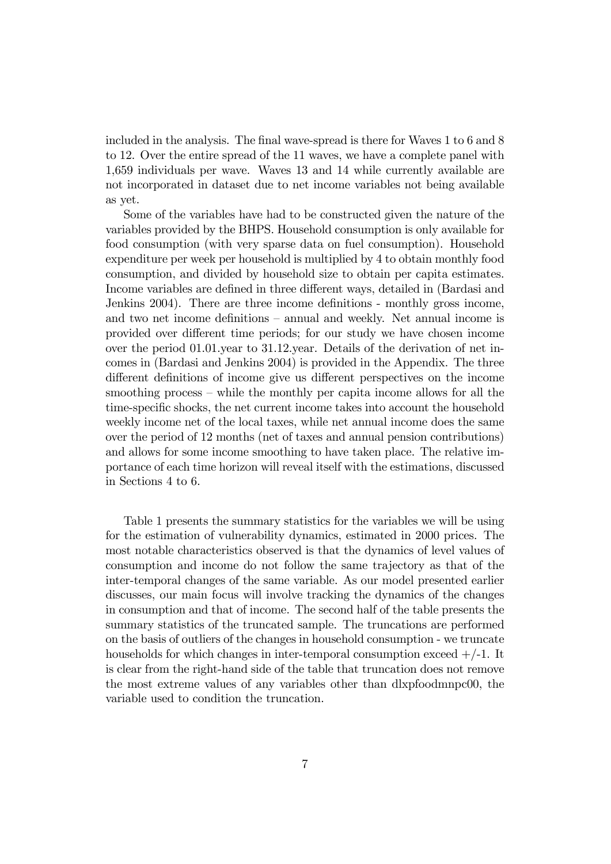included in the analysis. The final wave-spread is there for Waves 1 to 6 and 8 to 12. Over the entire spread of the 11 waves, we have a complete panel with 1,659 individuals per wave. Waves 13 and 14 while currently available are not incorporated in dataset due to net income variables not being available as yet.

Some of the variables have had to be constructed given the nature of the variables provided by the BHPS. Household consumption is only available for food consumption (with very sparse data on fuel consumption). Household expenditure per week per household is multiplied by 4 to obtain monthly food consumption, and divided by household size to obtain per capita estimates. Income variables are defined in three different ways, detailed in (Bardasi and Jenkins 2004). There are three income definitions - monthly gross income, and two net income definitions – annual and weekly. Net annual income is provided over different time periods; for our study we have chosen income over the period 01.01.year to 31.12.year. Details of the derivation of net incomes in (Bardasi and Jenkins 2004) is provided in the Appendix. The three different definitions of income give us different perspectives on the income smoothing process  $-$  while the monthly per capita income allows for all the time-specific shocks, the net current income takes into account the household weekly income net of the local taxes, while net annual income does the same over the period of 12 months (net of taxes and annual pension contributions) and allows for some income smoothing to have taken place. The relative importance of each time horizon will reveal itself with the estimations, discussed in Sections 4 to 6.

Table 1 presents the summary statistics for the variables we will be using for the estimation of vulnerability dynamics, estimated in 2000 prices. The most notable characteristics observed is that the dynamics of level values of consumption and income do not follow the same trajectory as that of the inter-temporal changes of the same variable. As our model presented earlier discusses, our main focus will involve tracking the dynamics of the changes in consumption and that of income. The second half of the table presents the summary statistics of the truncated sample. The truncations are performed on the basis of outliers of the changes in household consumption - we truncate households for which changes in inter-temporal consumption exceed  $+/-1$ . It is clear from the right-hand side of the table that truncation does not remove the most extreme values of any variables other than dlxpfoodmnpc00, the variable used to condition the truncation.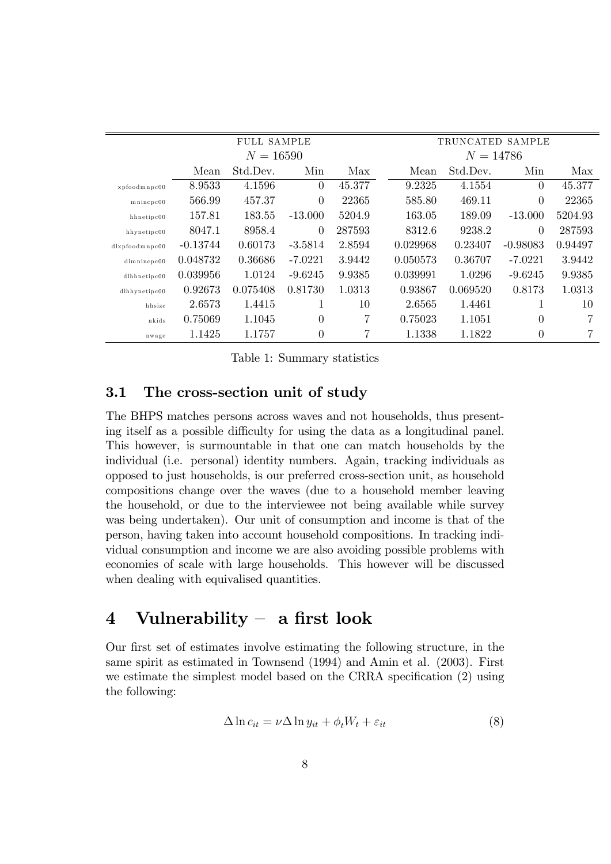|                      | <b>FULL SAMPLE</b> |             |              |        |          | TRUNCATED SAMPLE |                |         |
|----------------------|--------------------|-------------|--------------|--------|----------|------------------|----------------|---------|
|                      |                    | $N = 16590$ |              |        |          | $N = 14786$      |                |         |
|                      | Mean               | Std.Dev.    | Min          | Max    | Mean     | Std.Dev.         | Min            | Max     |
| xpfoodmnpc00         | 8.9533             | 4.1596      | $\Omega$     | 45.377 | 9.2325   | 4.1554           | $\theta$       | 45.377  |
| mincpc00             | 566.99             | 457.37      | $\Omega$     | 22365  | 585.80   | 469.11           | $\theta$       | 22365   |
| $h$ hnetipc $00$     | 157.81             | 183.55      | $-13.000$    | 5204.9 | 163.05   | 189.09           | $-13.000$      | 5204.93 |
| hhynetipc00          | 8047.1             | 8958.4      | $\Omega$     | 287593 | 8312.6   | 9238.2           | $\theta$       | 287593  |
| $dl$ xpfoodmnpc $00$ | $-0.13744$         | 0.60173     | $-3.5814$    | 2.8594 | 0.029968 | 0.23407          | $-0.98083$     | 0.94497 |
| $d$ lmnincpc $00$    | 0.048732           | 0.36686     | $-7.0221$    | 3.9442 | 0.050573 | 0.36707          | $-7.0221$      | 3.9442  |
| $d$ lhhnetipc $00$   | 0.039956           | 1.0124      | $-9.6245$    | 9.9385 | 0.039991 | 1.0296           | $-9.6245$      | 9.9385  |
| $d$ lhhynetipc $00$  | 0.92673            | 0.075408    | 0.81730      | 1.0313 | 0.93867  | 0.069520         | 0.8173         | 1.0313  |
| hhsize               | 2.6573             | 1.4415      | $\mathbf{1}$ | 10     | 2.6565   | 1.4461           | $\mathbf{1}$   | 10      |
| nkids                | 0.75069            | 1.1045      | $\theta$     | 7      | 0.75023  | 1.1051           | $\theta$       | 7       |
| nwage                | 1.1425             | 1.1757      | $\theta$     | 7      | 1.1338   | 1.1822           | $\overline{0}$ | 7       |

Table 1: Summary statistics

#### 3.1 The cross-section unit of study

The BHPS matches persons across waves and not households, thus presenting itself as a possible difficulty for using the data as a longitudinal panel. This however, is surmountable in that one can match households by the individual (i.e. personal) identity numbers. Again, tracking individuals as opposed to just households, is our preferred cross-section unit, as household compositions change over the waves (due to a household member leaving the household, or due to the interviewee not being available while survey was being undertaken). Our unit of consumption and income is that of the person, having taken into account household compositions. In tracking individual consumption and income we are also avoiding possible problems with economies of scale with large households. This however will be discussed when dealing with equivalised quantities.

### 4 Vulnerability  $-$  a first look

Our first set of estimates involve estimating the following structure, in the same spirit as estimated in Townsend (1994) and Amin et al. (2003). First we estimate the simplest model based on the CRRA specification  $(2)$  using the following:

$$
\Delta \ln c_{it} = \nu \Delta \ln y_{it} + \phi_t W_t + \varepsilon_{it} \tag{8}
$$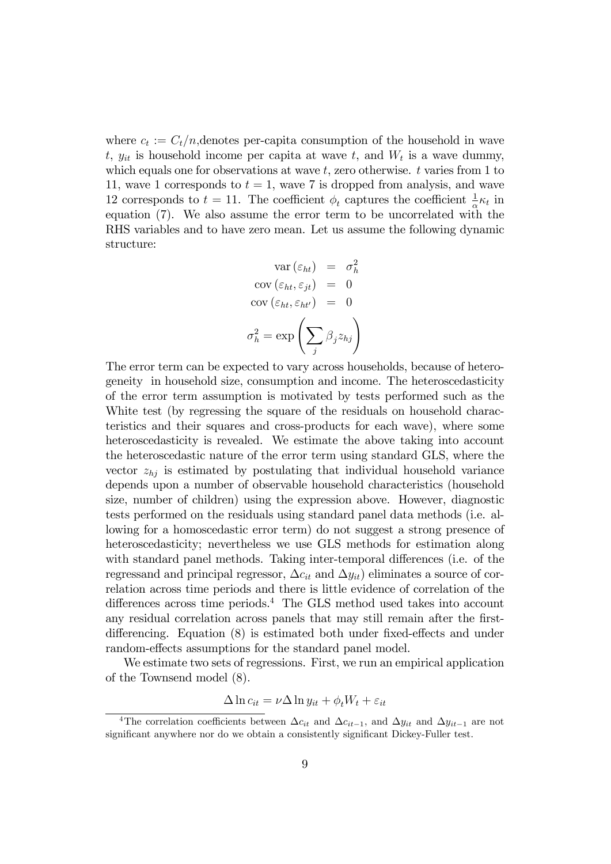where  $c_t := C_t/n$ , denotes per-capita consumption of the household in wave t,  $y_{it}$  is household income per capita at wave  $t$ , and  $W_t$  is a wave dummy, which equals one for observations at wave  $t$ , zero otherwise.  $t$  varies from 1 to 11, wave 1 corresponds to  $t = 1$ , wave 7 is dropped from analysis, and wave 12 corresponds to  $t = 11$ . The coefficient  $\phi_t$  captures the coefficient  $\frac{1}{\alpha} \kappa_t$  in equation (7). We also assume the error term to be uncorrelated with the RHS variables and to have zero mean. Let us assume the following dynamic structure:

$$
\begin{aligned}\n\text{var}(\varepsilon_{ht}) &= \sigma_h^2 \\
\text{cov}(\varepsilon_{ht}, \varepsilon_{jt}) &= 0 \\
\text{cov}(\varepsilon_{ht}, \varepsilon_{ht'}) &= 0 \\
\sigma_h^2 &= \exp\left(\sum_j \beta_j z_{hj}\right)\n\end{aligned}
$$

The error term can be expected to vary across households, because of heterogeneity in household size, consumption and income. The heteroscedasticity of the error term assumption is motivated by tests performed such as the White test (by regressing the square of the residuals on household characteristics and their squares and cross-products for each wave), where some heteroscedasticity is revealed. We estimate the above taking into account the heteroscedastic nature of the error term using standard GLS, where the vector  $z_{hi}$  is estimated by postulating that individual household variance depends upon a number of observable household characteristics (household size, number of children) using the expression above. However, diagnostic tests performed on the residuals using standard panel data methods (i.e. allowing for a homoscedastic error term) do not suggest a strong presence of heteroscedasticity; nevertheless we use GLS methods for estimation along with standard panel methods. Taking inter-temporal differences (i.e. of the regressand and principal regressor,  $\Delta c_{it}$  and  $\Delta y_{it}$ ) eliminates a source of correlation across time periods and there is little evidence of correlation of the differences across time periods.<sup>4</sup> The GLS method used takes into account any residual correlation across panels that may still remain after the Örstdifferencing. Equation  $(8)$  is estimated both under fixed-effects and under random-effects assumptions for the standard panel model.

We estimate two sets of regressions. First, we run an empirical application of the Townsend model (8).

$$
\Delta \ln c_{it} = \nu \Delta \ln y_{it} + \phi_t W_t + \varepsilon_{it}
$$

<sup>&</sup>lt;sup>4</sup>The correlation coefficients between  $\Delta c_{it}$  and  $\Delta c_{it-1}$ , and  $\Delta y_{it}$  and  $\Delta y_{it-1}$  are not significant anywhere nor do we obtain a consistently significant Dickey-Fuller test.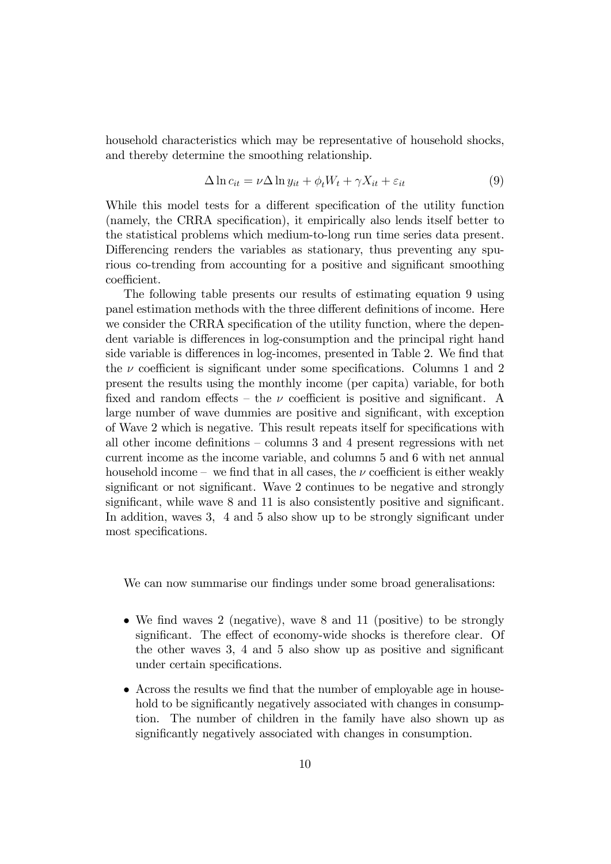household characteristics which may be representative of household shocks, and thereby determine the smoothing relationship.

$$
\Delta \ln c_{it} = \nu \Delta \ln y_{it} + \phi_t W_t + \gamma X_{it} + \varepsilon_{it}
$$
\n(9)

While this model tests for a different specification of the utility function (namely, the CRRA specification), it empirically also lends itself better to the statistical problems which medium-to-long run time series data present. Differencing renders the variables as stationary, thus preventing any spurious co-trending from accounting for a positive and significant smoothing coefficient.

The following table presents our results of estimating equation 9 using panel estimation methods with the three different definitions of income. Here we consider the CRRA specification of the utility function, where the dependent variable is differences in log-consumption and the principal right hand side variable is differences in log-incomes, presented in Table 2. We find that the  $\nu$  coefficient is significant under some specifications. Columns 1 and 2 present the results using the monthly income (per capita) variable, for both fixed and random effects – the  $\nu$  coefficient is positive and significant. A large number of wave dummies are positive and significant, with exception of Wave 2 which is negative. This result repeats itself for specifications with all other income definitions  $-$  columns 3 and 4 present regressions with net current income as the income variable, and columns 5 and 6 with net annual household income – we find that in all cases, the  $\nu$  coefficient is either weakly significant or not significant. Wave 2 continues to be negative and strongly significant, while wave  $8$  and  $11$  is also consistently positive and significant. In addition, waves 3, 4 and 5 also show up to be strongly significant under most specifications.

We can now summarise our findings under some broad generalisations:

- $\bullet$  We find waves 2 (negative), wave 8 and 11 (positive) to be strongly significant. The effect of economy-wide shocks is therefore clear. Of the other waves  $3, 4$  and  $5$  also show up as positive and significant under certain specifications.
- Across the results we find that the number of employable age in household to be significantly negatively associated with changes in consumption. The number of children in the family have also shown up as significantly negatively associated with changes in consumption.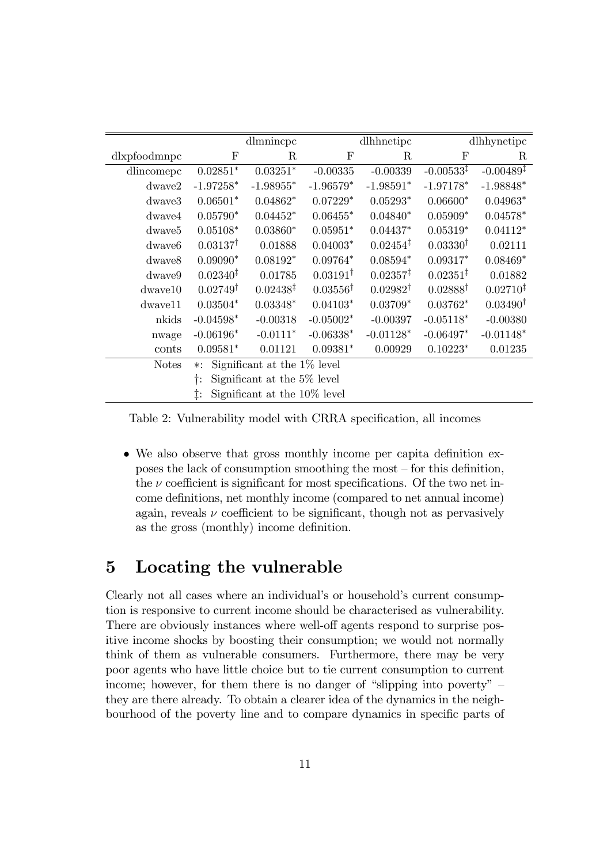|                    |                      | dlmnincpc                      |                     | dlhhnetipc           |                       | dlhhynetipc           |
|--------------------|----------------------|--------------------------------|---------------------|----------------------|-----------------------|-----------------------|
| dlxpfoodmnpc       | F                    | R                              | $\mathbf F$         | R                    | $_{\rm F}$            | R                     |
| dlincomepc         | $0.02851*$           | $0.03251*$                     | $-0.00335$          | $-0.00339$           | $-0.00533^{\ddagger}$ | $-0.00489^{\ddagger}$ |
| $d$ waye $2$       | $-1.97258*$          | $-1.98955*$                    | $-1.96579*$         | $-1.98591*$          | $-1.97178*$           | $-1.98848*$           |
| dwaye3             | $0.06501*$           | $0.04862*$                     | $0.07229*$          | $0.05293*$           | $0.06600*$            | $0.04963*$            |
| dwave4             | $0.05790*$           | $0.04452*$                     | $0.06455*$          | $0.04840*$           | $0.05909*$            | $0.04578*$            |
| dwave <sub>5</sub> | $0.05108*$           | $0.03860*$                     | $0.05951*$          | $0.04437*$           | $0.05319*$            | $0.04112*$            |
| dwave <sub>6</sub> | $0.03137^{\dagger}$  | 0.01888                        | $0.04003*$          | $0.02454^{\ddagger}$ | $0.03330^{\dagger}$   | 0.02111               |
| dwaye8             | $0.09090*$           | $0.08192*$                     | $0.09764*$          | $0.08594*$           | $0.09317*$            | $0.08469*$            |
| dwaye9             | $0.02340^{\ddagger}$ | 0.01785                        | $0.03191^{\dagger}$ | $0.02357^{\ddagger}$ | $0.02351^{\ddagger}$  | 0.01882               |
| $d$ wave $10$      | $0.02749^{\dagger}$  | 0.02438 <sup>‡</sup>           | $0.03556^{\dagger}$ | $0.02982^{\dagger}$  | $0.02888^{\dagger}$   | $0.02710^{\ddagger}$  |
| $d$ wave $11$      | $0.03504*$           | $0.03348*$                     | $0.04103*$          | $0.03709*$           | $0.03762*$            | $0.03490^{\dagger}$   |
| nkids              | $-0.04598*$          | $-0.00318$                     | $-0.05002*$         | $-0.00397$           | $-0.05118*$           | $-0.00380$            |
| nwage              | $-0.06196*$          | $-0.0111*$                     | $-0.06338*$         | $-0.01128*$          | $-0.06497*$           | $-0.01148*$           |
| conts              | $0.09581*$           | 0.01121                        | $0.09381*$          | 0.00929              | $0.10223*$            | 0.01235               |
| <b>Notes</b>       | $\ast$ :             | Significant at the $1\%$ level |                     |                      |                       |                       |
|                    | t:                   | Significant at the 5% level    |                     |                      |                       |                       |
|                    | ţ.                   | Significant at the 10\% level  |                     |                      |                       |                       |

Table 2: Vulnerability model with CRRA specification, all incomes

• We also observe that gross monthly income per capita definition exposes the lack of consumption smoothing the most  $-$  for this definition, the  $\nu$  coefficient is significant for most specifications. Of the two net income definitions, net monthly income (compared to net annual income) again, reveals  $\nu$  coefficient to be significant, though not as pervasively as the gross (monthly) income definition.

### 5 Locating the vulnerable

Clearly not all cases where an individual's or household's current consumption is responsive to current income should be characterised as vulnerability. There are obviously instances where well-off agents respond to surprise positive income shocks by boosting their consumption; we would not normally think of them as vulnerable consumers. Furthermore, there may be very poor agents who have little choice but to tie current consumption to current income; however, for them there is no danger of "slipping into poverty"  $$ they are there already. To obtain a clearer idea of the dynamics in the neighbourhood of the poverty line and to compare dynamics in specific parts of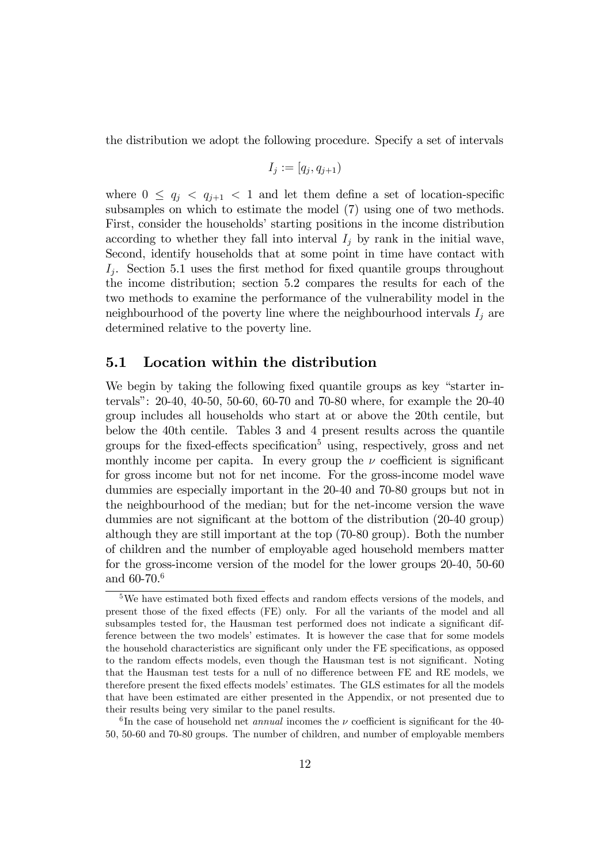the distribution we adopt the following procedure. Specify a set of intervals

$$
I_j:=[q_j,q_{j+1})
$$

where  $0 \leq q_j < q_{j+1} < 1$  and let them define a set of location-specific subsamples on which to estimate the model (7) using one of two methods. First, consider the households' starting positions in the income distribution according to whether they fall into interval  $I_i$  by rank in the initial wave, Second, identify households that at some point in time have contact with  $I_j$ . Section 5.1 uses the first method for fixed quantile groups throughout the income distribution; section 5.2 compares the results for each of the two methods to examine the performance of the vulnerability model in the neighbourhood of the poverty line where the neighbourhood intervals  $I_j$  are determined relative to the poverty line.

#### 5.1 Location within the distribution

We begin by taking the following fixed quantile groups as key "starter intervalsî: 20-40, 40-50, 50-60, 60-70 and 70-80 where, for example the 20-40 group includes all households who start at or above the 20th centile, but below the 40th centile. Tables 3 and 4 present results across the quantile groups for the fixed-effects specification<sup>5</sup> using, respectively, gross and net monthly income per capita. In every group the  $\nu$  coefficient is significant for gross income but not for net income. For the gross-income model wave dummies are especially important in the 20-40 and 70-80 groups but not in the neighbourhood of the median; but for the net-income version the wave dummies are not significant at the bottom of the distribution (20-40 group) although they are still important at the top (70-80 group). Both the number of children and the number of employable aged household members matter for the gross-income version of the model for the lower groups 20-40, 50-60 and 60-70.<sup>6</sup>

 $5$ We have estimated both fixed effects and random effects versions of the models, and present those of the fixed effects (FE) only. For all the variants of the model and all subsamples tested for, the Hausman test performed does not indicate a significant difference between the two models' estimates. It is however the case that for some models the household characteristics are significant only under the FE specifications, as opposed to the random effects models, even though the Hausman test is not significant. Noting that the Hausman test tests for a null of no difference between FE and RE models, we therefore present the fixed effects models' estimates. The GLS estimates for all the models that have been estimated are either presented in the Appendix, or not presented due to their results being very similar to the panel results.

<sup>&</sup>lt;sup>6</sup>In the case of household net *annual* incomes the  $\nu$  coefficient is significant for the 40-50, 50-60 and 70-80 groups. The number of children, and number of employable members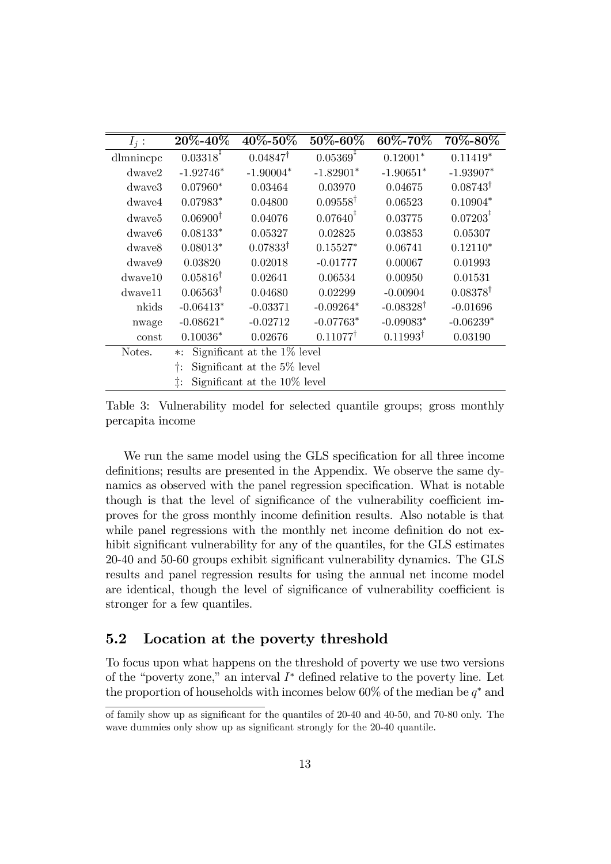| $I_i$ :            | $20\% - 40\%$                              | $40\% - 50\%$                | $50\% - 60\%$           | $60\% - 70\%$        | 70%-80%                 |  |  |
|--------------------|--------------------------------------------|------------------------------|-------------------------|----------------------|-------------------------|--|--|
| dlmnincpc          | $0.03318^{\frac{1}{4}}$                    | $0.04847^{\dagger}$          | $0.05369^{\ddagger}$    | $0.12001*$           | $0.11419*$              |  |  |
| $d$ waye $2$       | $-1.92746*$                                | $-1.90004*$                  | $-1.82901*$             | $-1.90651*$          | $-1.93907*$             |  |  |
| dwaye3             | $0.07960*$                                 | 0.03464                      | 0.03970                 | 0.04675              | $0.08743^{\dagger}$     |  |  |
| dwaye4             | $0.07983*$                                 | 0.04800                      | $0.09558^{\dagger}$     | 0.06523              | $0.10904*$              |  |  |
| dwave <sub>5</sub> | $0.06900^{\dagger}$                        | 0.04076                      | $0.07640^{\frac{1}{4}}$ | 0.03775              | $0.07203^{\frac{1}{4}}$ |  |  |
| dwaye <sub>6</sub> | $0.08133*$                                 | 0.05327                      | 0.02825                 | 0.03853              | 0.05307                 |  |  |
| dwaye8             | $0.08013*$                                 | $0.07833^{\dagger}$          | $0.15527*$              | 0.06741              | $0.12110*$              |  |  |
| dwaye9             | 0.03820                                    | 0.02018                      | $-0.01777$              | 0.00067              | 0.01993                 |  |  |
| $d$ waye $10$      | $0.05816^{\dagger}$                        | 0.02641                      | 0.06534                 | 0.00950              | 0.01531                 |  |  |
| dwaye11            | $0.06563^{\dagger}$                        | 0.04680                      | 0.02299                 | $-0.00904$           | $0.08378^{\dagger}$     |  |  |
| nkids              | $-0.06413*$                                | $-0.03371$                   | $-0.09264*$             | $-0.08328^{\dagger}$ | $-0.01696$              |  |  |
| nwage              | $-0.08621*$                                | $-0.02712$                   | $-0.07763*$             | $-0.09083*$          | $-0.06239*$             |  |  |
| const              | $0.10036*$                                 | 0.02676                      | $0.11077^{\dagger}$     | $0.11993^{\dagger}$  | 0.03190                 |  |  |
| Notes.             | Significant at the $1\%$ level<br>$\ast$ : |                              |                         |                      |                         |  |  |
|                    | Significant at the 5% level<br>Ť:          |                              |                         |                      |                         |  |  |
|                    | ‡:                                         | Significant at the 10% level |                         |                      |                         |  |  |

Table 3: Vulnerability model for selected quantile groups; gross monthly percapita income

We run the same model using the GLS specification for all three income definitions; results are presented in the Appendix. We observe the same dynamics as observed with the panel regression specification. What is notable though is that the level of significance of the vulnerability coefficient improves for the gross monthly income deÖnition results. Also notable is that while panel regressions with the monthly net income definition do not exhibit significant vulnerability for any of the quantiles, for the GLS estimates 20-40 and 50-60 groups exhibit significant vulnerability dynamics. The GLS results and panel regression results for using the annual net income model are identical, though the level of significance of vulnerability coefficient is stronger for a few quantiles.

#### 5.2 Location at the poverty threshold

To focus upon what happens on the threshold of poverty we use two versions of the "poverty zone," an interval  $I^*$  defined relative to the poverty line. Let the proportion of households with incomes below 60% of the median be  $q^*$  and

of family show up as significant for the quantiles of  $20-40$  and  $40-50$ , and  $70-80$  only. The wave dummies only show up as significant strongly for the 20-40 quantile.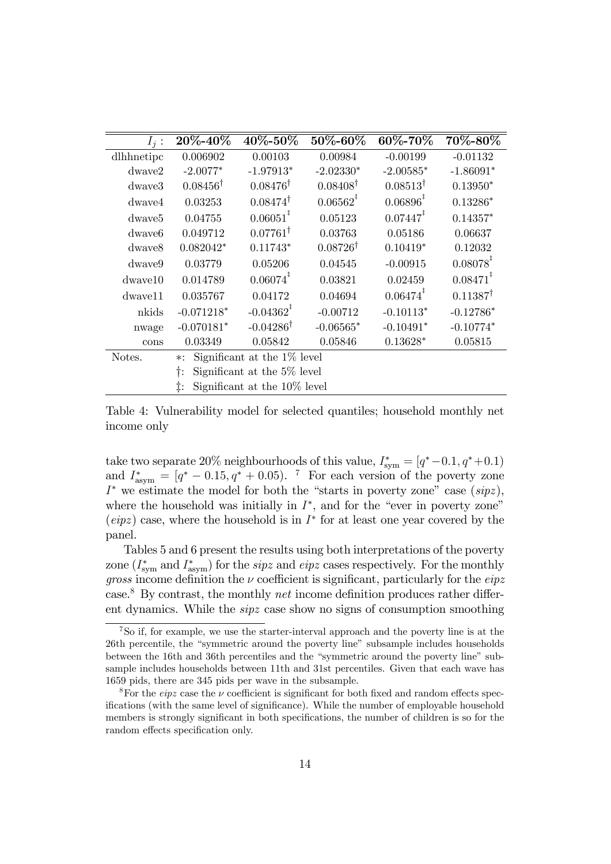| $I_i$ :            | 20\%-40\%                                | 40\%-50\%                    | 50\%-60\%           | 60\%-70\%               | 70%-80%                |  |  |
|--------------------|------------------------------------------|------------------------------|---------------------|-------------------------|------------------------|--|--|
| dlhhnetipc         | 0.006902                                 | 0.00103                      | 0.00984             | $-0.00199$              | $-0.01132$             |  |  |
| $d$ waye $2$       | $-2.0077*$                               | $-1.97913*$                  | $-2.02330*$         | $-2.00585*$             | $-1.86091*$            |  |  |
| dwaye3             | $0.08456^{\dagger}$                      | $0.08476^{\dagger}$          | $0.08408^{\dagger}$ | $0.08513^{\dagger}$     | $0.13950*$             |  |  |
| $d$ waye $4$       | 0.03253                                  | $0.08474^{\dagger}$          | $0.06562^*$         | $0.06896^{\frac{1}{4}}$ | $0.13286*$             |  |  |
| dwaye <sub>5</sub> | 0.04755                                  | $0.06051^{\ddagger}$         | 0.05123             | $0.07447^{\ddagger}$    | $0.14357*$             |  |  |
| dwave <sub>6</sub> | 0.049712                                 | $0.07761^{\dagger}$          | 0.03763             | 0.05186                 | 0.06637                |  |  |
| dwaye8             | $0.082042*$                              | $0.11743*$                   | $0.08726^{\dagger}$ | $0.10419*$              | 0.12032                |  |  |
| dwaye9             | 0.03779                                  | 0.05206                      | 0.04545             | $-0.00915$              | $0.08078^*$            |  |  |
| $d$ waye $10$      | 0.014789                                 | $0.06074^*$                  | 0.03821             | 0.02459                 | $0.08471$ <sup>#</sup> |  |  |
| dwave11            | 0.035767                                 | 0.04172                      | 0.04694             | $0.06474^{\ddagger}$    | $0.11387^{\dagger}$    |  |  |
| nkids              | $-0.071218*$                             | $-0.04362^*$                 | $-0.00712$          | $-0.10113*$             | $-0.12786*$            |  |  |
| nwage              | $-0.070181*$                             | $-0.04286^{\dagger}$         | $-0.06565*$         | $-0.10491*$             | $-0.10774*$            |  |  |
| cons               | 0.03349                                  | 0.05842                      | 0.05846             | $0.13628*$              | 0.05815                |  |  |
| Notes.             | Significant at the 1\% level<br>$\ast$ : |                              |                     |                         |                        |  |  |
|                    | Significant at the 5% level<br>t:        |                              |                     |                         |                        |  |  |
|                    | ‡:                                       | Significant at the 10% level |                     |                         |                        |  |  |

Table 4: Vulnerability model for selected quantiles; household monthly net income only

take two separate 20% neighbourhoods of this value,  $I_{\text{sym}}^* = [q^* - 0.1, q^* + 0.1]$ and  $I_{\text{asym}}^* = [q^* - 0.15, q^* + 0.05]$ . <sup>7</sup> For each version of the poverty zone  $I^*$  we estimate the model for both the "starts in poverty zone" case  $(sipz)$ , where the household was initially in  $I^*$ , and for the "ever in poverty zone" (eipz) case, where the household is in  $I^*$  for at least one year covered by the panel.

Tables 5 and 6 present the results using both interpretations of the poverty zone  $(I^*_{\text{sym}}$  and  $I^*_{\text{asym}}$ ) for the *sipz* and *eipz* cases respectively. For the monthly *gross* income definition the  $\nu$  coefficient is significant, particularly for the eipz case.<sup>8</sup> By contrast, the monthly *net* income definition produces rather different dynamics. While the sipz case show no signs of consumption smoothing

<sup>7</sup>So if, for example, we use the starter-interval approach and the poverty line is at the 26th percentile, the "symmetric around the poverty line" subsample includes households between the 16th and 36th percentiles and the "symmetric around the poverty line" subsample includes households between 11th and 31st percentiles. Given that each wave has 1659 pids, there are 345 pids per wave in the subsample.

<sup>&</sup>lt;sup>8</sup>For the *eipz* case the  $\nu$  coefficient is significant for both fixed and random effects specifications (with the same level of significance). While the number of employable household members is strongly significant in both specifications, the number of children is so for the random effects specification only.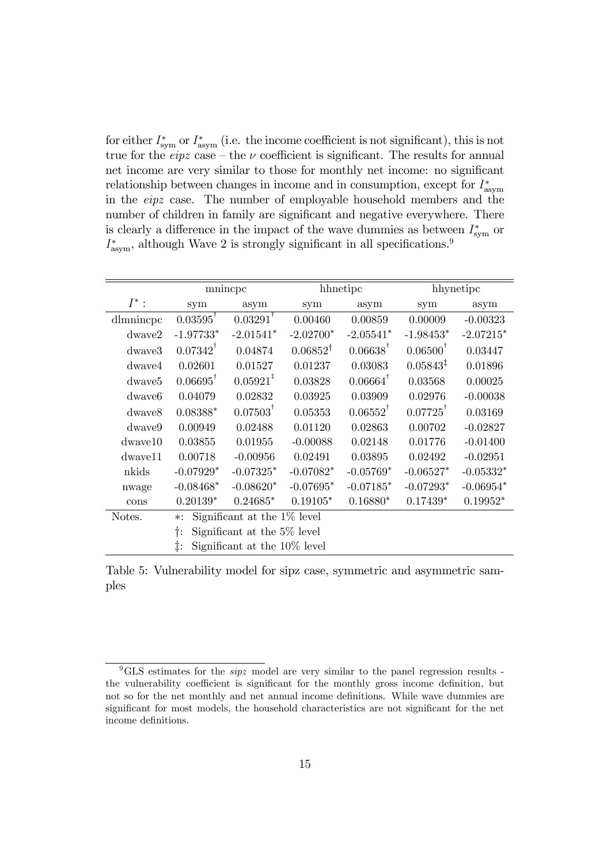for either  $I^*_{\text{sym}}$  or  $I^*_{\text{asym}}$  (i.e. the income coefficient is not significant), this is not true for the *eipz* case – the  $\nu$  coefficient is significant. The results for annual net income are very similar to those for monthly net income: no significant relationship between changes in income and in consumption, except for  $I^*_{\text{asym}}$ in the eipz case. The number of employable household members and the number of children in family are significant and negative everywhere. There is clearly a difference in the impact of the wave dummies as between  $I^*_{sym}$  or  $I_{\text{asym}}^*$ , although Wave 2 is strongly significant in all specifications.<sup>9</sup>

|                    |                                          | mnincpc                       |                     | hhnetipc            |                        | hhynetipc   |
|--------------------|------------------------------------------|-------------------------------|---------------------|---------------------|------------------------|-------------|
| $I^*$ :            | sym                                      | asym                          | sym                 | asym                | sym                    | asym        |
| dlmnincpc          | $0.03595^{\dagger}$                      | $0.03291^{\dagger}$           | 0.00460             | 0.00859             | 0.00009                | $-0.00323$  |
| dwave2             | $-1.97733*$                              | $-2.01541*$                   | $-2.02700*$         | $-2.05541*$         | $-1.98453*$            | $-2.07215*$ |
| dwaye3             | $0.07342^T$                              | 0.04874                       | $0.06852^{\dagger}$ | $0.06638^{\dagger}$ | $0.06500^{\dagger}$    | 0.03447     |
| dwave4             | 0.02601                                  | 0.01527                       | 0.01237             | 0.03083             | $0.05843^{\ddagger}$   | 0.01896     |
| dwave <sub>5</sub> | $0.06695^{\dagger}$                      | $0.05921^*$                   | 0.03828             | $0.06664^{\dagger}$ | 0.03568                | 0.00025     |
| dwave <sub>6</sub> | 0.04079                                  | 0.02832                       | 0.03925             | 0.03909             | 0.02976                | $-0.00038$  |
| dwaye8             | $0.08388*$                               | $0.07503^{\dagger}$           | 0.05353             | $0.06552^{\dagger}$ | $0.07725$ <sup>T</sup> | 0.03169     |
| dwaye9             | 0.00949                                  | 0.02488                       | 0.01120             | 0.02863             | 0.00702                | $-0.02827$  |
| $d$ wave $10$      | 0.03855                                  | 0.01955                       | $-0.00088$          | 0.02148             | 0.01776                | $-0.01400$  |
| $d$ wave $11$      | 0.00718                                  | $-0.00956$                    | 0.02491             | 0.03895             | 0.02492                | $-0.02951$  |
| nkids              | $-0.07929*$                              | $-0.07325*$                   | $-0.07082*$         | $-0.05769*$         | $-0.06527*$            | $-0.05332*$ |
| nwage              | $-0.08468*$                              | $-0.08620*$                   | $-0.07695*$         | $-0.07185*$         | $-0.07293*$            | $-0.06954*$ |
| cons               | $0.20139*$                               | $0.24685*$                    | $0.19105*$          | $0.16880*$          | $0.17439*$             | $0.19952*$  |
| Notes.             | Significant at the 1\% level<br>$\ast$ : |                               |                     |                     |                        |             |
|                    | Significant at the 5\% level<br>t:       |                               |                     |                     |                        |             |
|                    | ‡:                                       | Significant at the 10\% level |                     |                     |                        |             |

Table 5: Vulnerability model for sipz case, symmetric and asymmetric samples

 ${}^{9}$ GLS estimates for the *sipz* model are very similar to the panel regression results the vulnerability coefficient is significant for the monthly gross income definition, but not so for the net monthly and net annual income definitions. While wave dummies are significant for most models, the household characteristics are not significant for the net income definitions.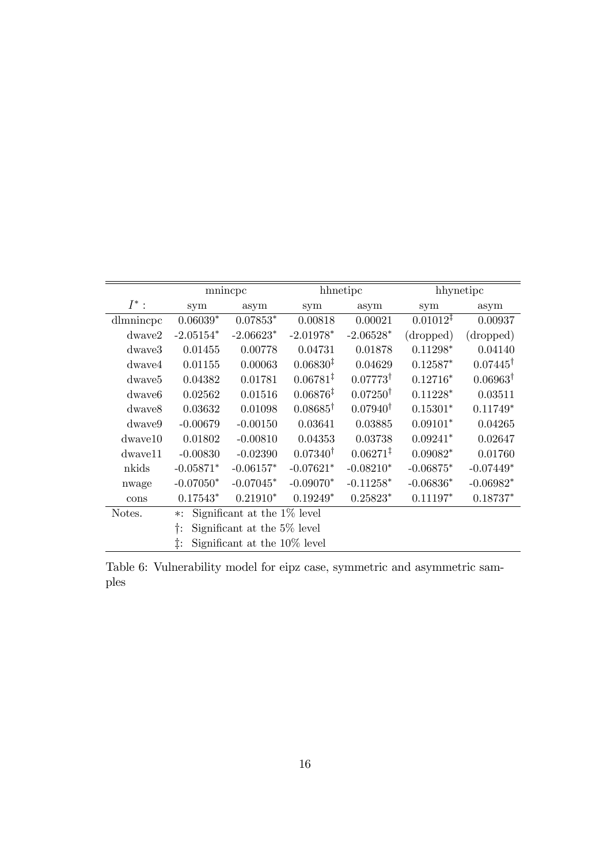|                    |                                   | mnincpc                      |                      | hhnetipc             |                      | hhynetipc           |
|--------------------|-----------------------------------|------------------------------|----------------------|----------------------|----------------------|---------------------|
| $I^*$ :            | sym                               | asym                         | sym                  | asym                 | sym                  | asym                |
| dlmnincpc          | $0.06039*$                        | $0.07853*$                   | 0.00818              | 0.00021              | $0.01012^{\ddagger}$ | 0.00937             |
| dwave2             | $-2.05154*$                       | $-2.06623*$                  | $-2.01978*$          | $-2.06528*$          | (dropped)            | (dropped)           |
| dwaye3             | 0.01455                           | 0.00778                      | 0.04731              | 0.01878              | $0.11298*$           | 0.04140             |
| dwave4             | 0.01155                           | 0.00063                      | 0.06830 <sup>‡</sup> | 0.04629              | $0.12587*$           | $0.07445^{\dagger}$ |
| dwave <sub>5</sub> | 0.04382                           | 0.01781                      | $0.06781^{\ddagger}$ | $0.07773^{\dagger}$  | $0.12716*$           | $0.06963^{\dagger}$ |
| dwave <sub>6</sub> | 0.02562                           | 0.01516                      | $0.06876^{\ddagger}$ | $0.07250^{\dagger}$  | $0.11228*$           | 0.03511             |
| dwaye8             | 0.03632                           | 0.01098                      | $0.08685^{\dagger}$  | $0.07940^{\dagger}$  | $0.15301*$           | $0.11749*$          |
| dwaye9             | $-0.00679$                        | $-0.00150$                   | 0.03641              | 0.03885              | $0.09101*$           | 0.04265             |
| $d$ wave $10$      | 0.01802                           | $-0.00810$                   | 0.04353              | 0.03738              | $0.09241*$           | 0.02647             |
| $d$ wave $11$      | $-0.00830$                        | $-0.02390$                   | $0.07340^{\dagger}$  | $0.06271^{\ddagger}$ | $0.09082*$           | 0.01760             |
| nkids              | $-0.05871*$                       | $-0.06157*$                  | $-0.07621*$          | $-0.08210*$          | $-0.06875*$          | $-0.07449*$         |
| nwage              | $-0.07050*$                       | $-0.07045*$                  | $-0.09070*$          | $-0.11258*$          | $-0.06836*$          | $-0.06982*$         |
| cons               | $0.17543*$                        | $0.21910*$                   | $0.19249*$           | $0.25823*$           | $0.11197*$           | $0.18737*$          |
| Notes.             | $\ast$ :                          | Significant at the 1\% level |                      |                      |                      |                     |
|                    | Significant at the 5% level<br>Ť: |                              |                      |                      |                      |                     |
|                    |                                   | Significant at the 10% level |                      |                      |                      |                     |

Table 6: Vulnerability model for eipz case, symmetric and asymmetric samples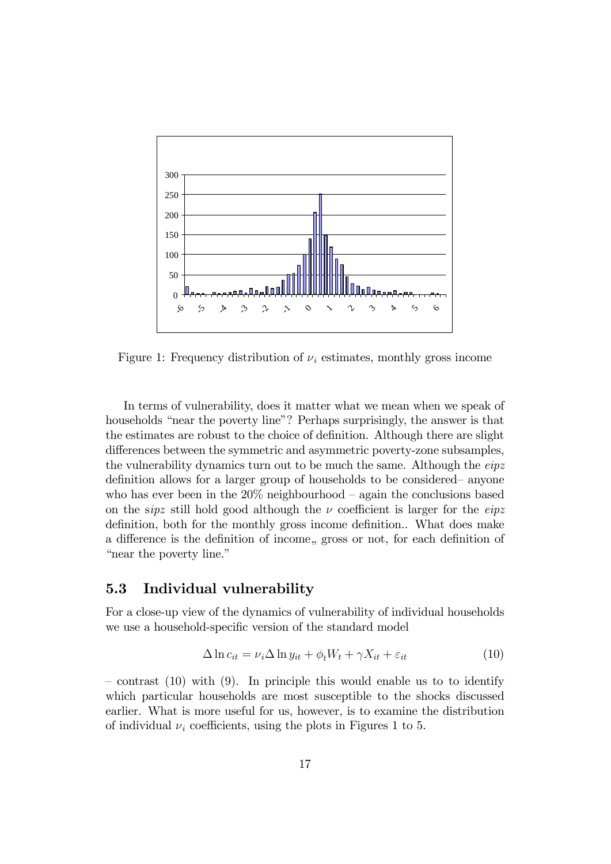

Figure 1: Frequency distribution of  $\nu_i$  estimates, monthly gross income

In terms of vulnerability, does it matter what we mean when we speak of households "near the poverty line"? Perhaps surprisingly, the answer is that the estimates are robust to the choice of definition. Although there are slight differences between the symmetric and asymmetric poverty-zone subsamples, the vulnerability dynamics turn out to be much the same. Although the *eipz* definition allows for a larger group of households to be considered anyone who has ever been in the  $20\%$  neighbourhood – again the conclusions based on the sipz still hold good although the  $\nu$  coefficient is larger for the eipz definition, both for the monthly gross income definition.. What does make a difference is the definition of income, gross or not, for each definition of "near the poverty line."

#### 5.3 Individual vulnerability

For a close-up view of the dynamics of vulnerability of individual households we use a household-specific version of the standard model

$$
\Delta \ln c_{it} = \nu_i \Delta \ln y_{it} + \phi_t W_t + \gamma X_{it} + \varepsilon_{it}
$$
\n(10)

 $\sim$  contrast (10) with (9). In principle this would enable us to to identify which particular households are most susceptible to the shocks discussed earlier. What is more useful for us, however, is to examine the distribution of individual  $\nu_i$  coefficients, using the plots in Figures 1 to 5.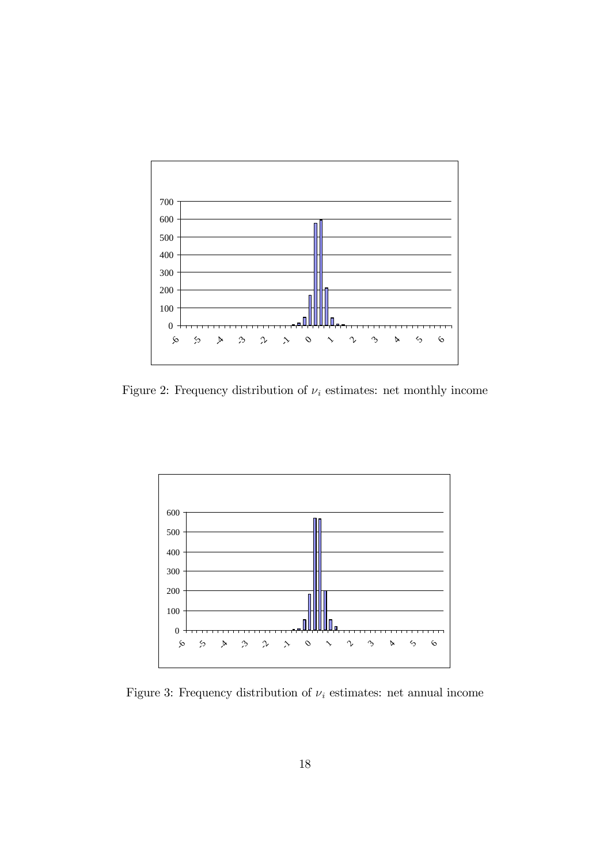

Figure 2: Frequency distribution of  $\nu_i$  estimates: net monthly income



Figure 3: Frequency distribution of  $\nu_i$  estimates: net annual income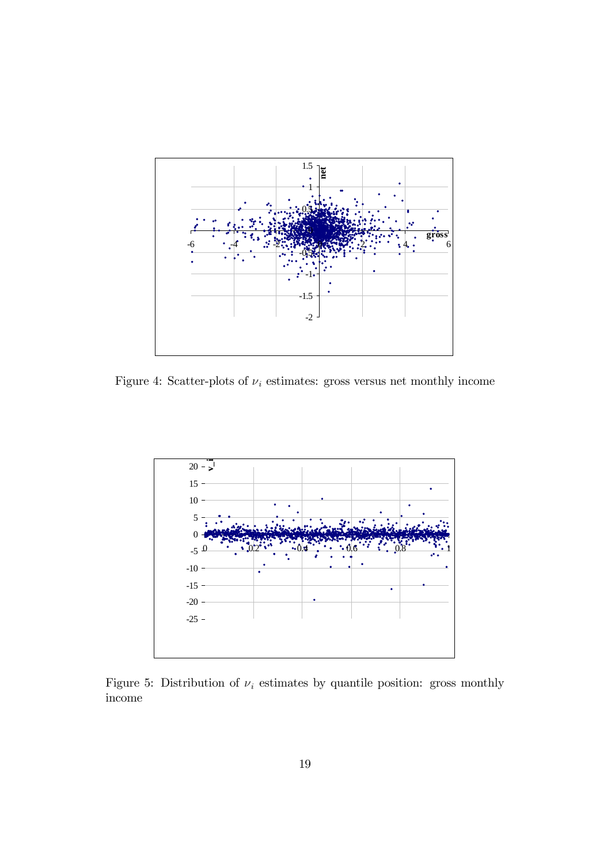

Figure 4: Scatter-plots of  $\nu_i$  estimates: gross versus net monthly income



Figure 5: Distribution of  $\nu_i$  estimates by quantile position: gross monthly income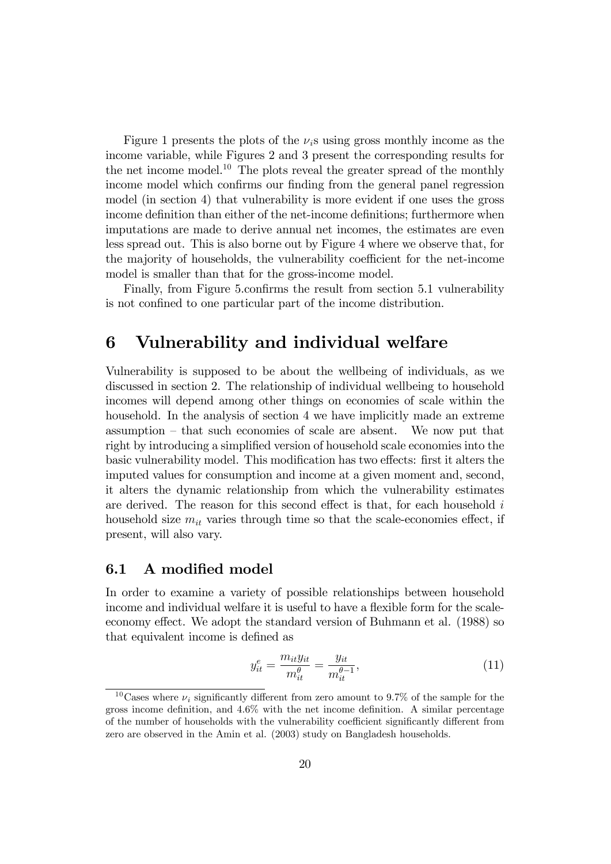Figure 1 presents the plots of the  $\nu_i$ s using gross monthly income as the income variable, while Figures 2 and 3 present the corresponding results for the net income model.<sup>10</sup> The plots reveal the greater spread of the monthly income model which confirms our finding from the general panel regression model (in section 4) that vulnerability is more evident if one uses the gross income definition than either of the net-income definitions; furthermore when imputations are made to derive annual net incomes, the estimates are even less spread out. This is also borne out by Figure 4 where we observe that, for the majority of households, the vulnerability coefficient for the net-income model is smaller than that for the gross-income model.

Finally, from Figure 5.confirms the result from section 5.1 vulnerability is not confined to one particular part of the income distribution.

### 6 Vulnerability and individual welfare

Vulnerability is supposed to be about the wellbeing of individuals, as we discussed in section 2. The relationship of individual wellbeing to household incomes will depend among other things on economies of scale within the household. In the analysis of section 4 we have implicitly made an extreme  $\alpha$  assumption – that such economies of scale are absent. We now put that right by introducing a simplified version of household scale economies into the basic vulnerability model. This modification has two effects: first it alters the imputed values for consumption and income at a given moment and, second, it alters the dynamic relationship from which the vulnerability estimates are derived. The reason for this second effect is that, for each household  $i$ household size  $m_{it}$  varies through time so that the scale-economies effect, if present, will also vary.

#### 6.1 A modified model

In order to examine a variety of possible relationships between household income and individual welfare it is useful to have a flexible form for the scaleeconomy effect. We adopt the standard version of Buhmann et al. (1988) so that equivalent income is defined as

$$
y_{it}^{e} = \frac{m_{it}y_{it}}{m_{it}^{\theta}} = \frac{y_{it}}{m_{it}^{\theta - 1}},
$$
\n(11)

<sup>&</sup>lt;sup>10</sup>Cases where  $\nu_i$  significantly different from zero amount to 9.7% of the sample for the gross income definition, and  $4.6\%$  with the net income definition. A similar percentage of the number of households with the vulnerability coefficient significantly different from zero are observed in the Amin et al. (2003) study on Bangladesh households.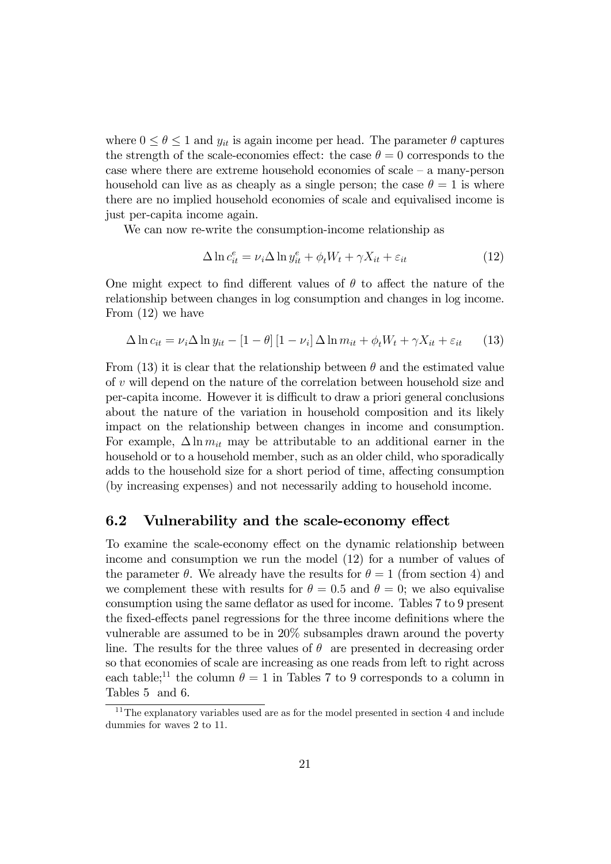where  $0 \le \theta \le 1$  and  $y_{it}$  is again income per head. The parameter  $\theta$  captures the strength of the scale-economies effect: the case  $\theta = 0$  corresponds to the case where there are extreme household economies of scale  $-$  a many-person household can live as as cheaply as a single person; the case  $\theta = 1$  is where there are no implied household economies of scale and equivalised income is just per-capita income again.

We can now re-write the consumption-income relationship as

$$
\Delta \ln c_{it}^e = \nu_i \Delta \ln y_{it}^e + \phi_t W_t + \gamma X_{it} + \varepsilon_{it}
$$
\n(12)

One might expect to find different values of  $\theta$  to affect the nature of the relationship between changes in log consumption and changes in log income. From (12) we have

$$
\Delta \ln c_{it} = \nu_i \Delta \ln y_{it} - [1 - \theta] [1 - \nu_i] \Delta \ln m_{it} + \phi_t W_t + \gamma X_{it} + \varepsilon_{it} \tag{13}
$$

From (13) it is clear that the relationship between  $\theta$  and the estimated value of v will depend on the nature of the correlation between household size and per-capita income. However it is difficult to draw a priori general conclusions about the nature of the variation in household composition and its likely impact on the relationship between changes in income and consumption. For example,  $\Delta \ln m_{it}$  may be attributable to an additional earner in the household or to a household member, such as an older child, who sporadically adds to the household size for a short period of time, affecting consumption (by increasing expenses) and not necessarily adding to household income.

#### 6.2 Vulnerability and the scale-economy effect

To examine the scale-economy effect on the dynamic relationship between income and consumption we run the model (12) for a number of values of the parameter  $\theta$ . We already have the results for  $\theta = 1$  (from section 4) and we complement these with results for  $\theta = 0.5$  and  $\theta = 0$ ; we also equivalise consumption using the same deflator as used for income. Tables 7 to 9 present the fixed-effects panel regressions for the three income definitions where the vulnerable are assumed to be in 20% subsamples drawn around the poverty line. The results for the three values of  $\theta$  are presented in decreasing order so that economies of scale are increasing as one reads from left to right across each table;<sup>11</sup> the column  $\theta = 1$  in Tables 7 to 9 corresponds to a column in Tables 5 and 6.

<sup>&</sup>lt;sup>11</sup>The explanatory variables used are as for the model presented in section 4 and include dummies for waves 2 to 11.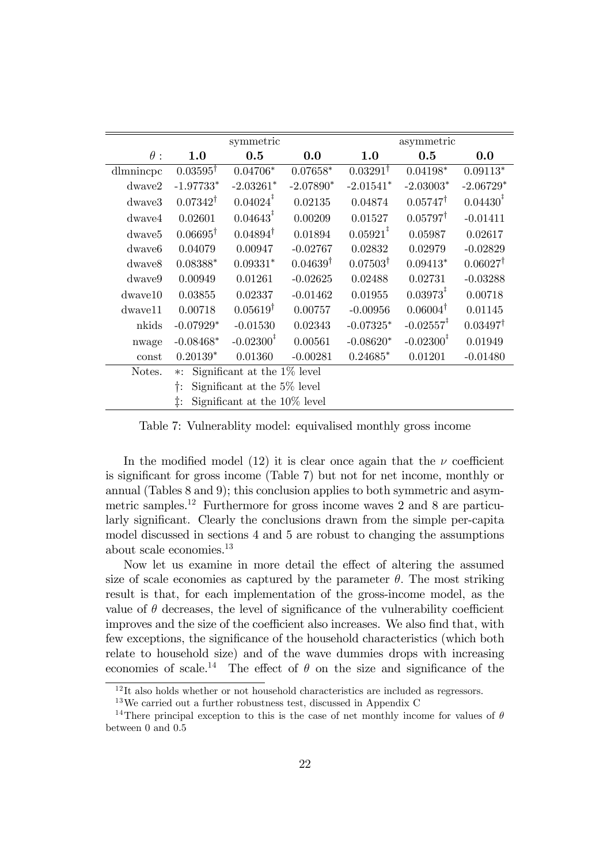|                    |                                            | symmetric                    |                     |                      | asymmetric              |                     |  |  |
|--------------------|--------------------------------------------|------------------------------|---------------------|----------------------|-------------------------|---------------------|--|--|
| $\theta$ :         | 1.0                                        | 0.5                          | 0.0                 | 1.0                  | 0.5                     | 0.0                 |  |  |
| dlmnincpc          | $0.03595^{\dagger}$                        | $0.04706*$                   | $0.07658*$          | $0.03291^{\dagger}$  | $0.04198*$              | $0.09113*$          |  |  |
| $d$ wave $2$       | $-1.97733*$                                | $-2.03261*$                  | $-2.07890*$         | $-2.01541*$          | $-2.03003*$             | $-2.06729*$         |  |  |
| dwaye3             | $0.07342^{\dagger}$                        | $0.04024^{\frac{1}{4}}$      | 0.02135             | 0.04874              | $0.05747^{\dagger}$     | $0.04430^{1}$       |  |  |
| dwave4             | 0.02601                                    | $0.04643^{\frac{1}{4}}$      | 0.00209             | 0.01527              | $0.05797^{\dagger}$     | $-0.01411$          |  |  |
| dwave <sub>5</sub> | $0.06695^{\dagger}$                        | $0.04894^{\dagger}$          | 0.01894             | $0.05921^{\ddagger}$ | 0.05987                 | 0.02617             |  |  |
| dwaye <sub>6</sub> | 0.04079                                    | 0.00947                      | $-0.02767$          | 0.02832              | 0.02979                 | $-0.02829$          |  |  |
| dwave8             | $0.08388*$                                 | $0.09331*$                   | $0.04639^{\dagger}$ | $0.07503^{\dagger}$  | $0.09413*$              | $0.06027^{\dagger}$ |  |  |
| dwaye9             | 0.00949                                    | 0.01261                      | $-0.02625$          | 0.02488              | 0.02731                 | $-0.03288$          |  |  |
| $d$ wave $10$      | 0.03855                                    | 0.02337                      | $-0.01462$          | 0.01955              | $0.03973^*$             | 0.00718             |  |  |
| $d$ wave $11$      | 0.00718                                    | $0.05619^{\dagger}$          | 0.00757             | $-0.00956$           | $0.06004^{\dagger}$     | 0.01145             |  |  |
| nkids              | $-0.07929*$                                | $-0.01530$                   | 0.02343             | $-0.07325*$          | $-0.02557$ <sup>‡</sup> | $0.03497^{\dagger}$ |  |  |
| nwage              | $-0.08468*$                                | $-0.02300^{\frac{1}{4}}$     | 0.00561             | $-0.08620*$          | $-0.02300^+$            | 0.01949             |  |  |
| const              | $0.20139*$                                 | 0.01360                      | $-0.00281$          | $0.24685*$           | 0.01201                 | $-0.01480$          |  |  |
| Notes.             | Significant at the $1\%$ level<br>$\ast$ : |                              |                     |                      |                         |                     |  |  |
|                    | Significant at the $5\%$ level<br>t:       |                              |                     |                      |                         |                     |  |  |
|                    | ‡:                                         | Significant at the 10% level |                     |                      |                         |                     |  |  |

Table 7: Vulnerablity model: equivalised monthly gross income

In the modified model (12) it is clear once again that the  $\nu$  coefficient is significant for gross income (Table 7) but not for net income, monthly or annual (Tables 8 and 9); this conclusion applies to both symmetric and asymmetric samples.<sup>12</sup> Furthermore for gross income waves 2 and 8 are particularly significant. Clearly the conclusions drawn from the simple per-capita model discussed in sections 4 and 5 are robust to changing the assumptions about scale economies.<sup>13</sup>

Now let us examine in more detail the effect of altering the assumed size of scale economies as captured by the parameter  $\theta$ . The most striking result is that, for each implementation of the gross-income model, as the value of  $\theta$  decreases, the level of significance of the vulnerability coefficient improves and the size of the coefficient also increases. We also find that, with few exceptions, the significance of the household characteristics (which both relate to household size) and of the wave dummies drops with increasing economies of scale.<sup>14</sup> The effect of  $\theta$  on the size and significance of the

 $12$ It also holds whether or not household characteristics are included as regressors.

<sup>13</sup>We carried out a further robustness test, discussed in Appendix C

<sup>&</sup>lt;sup>14</sup>There principal exception to this is the case of net monthly income for values of  $\theta$ between 0 and 0:5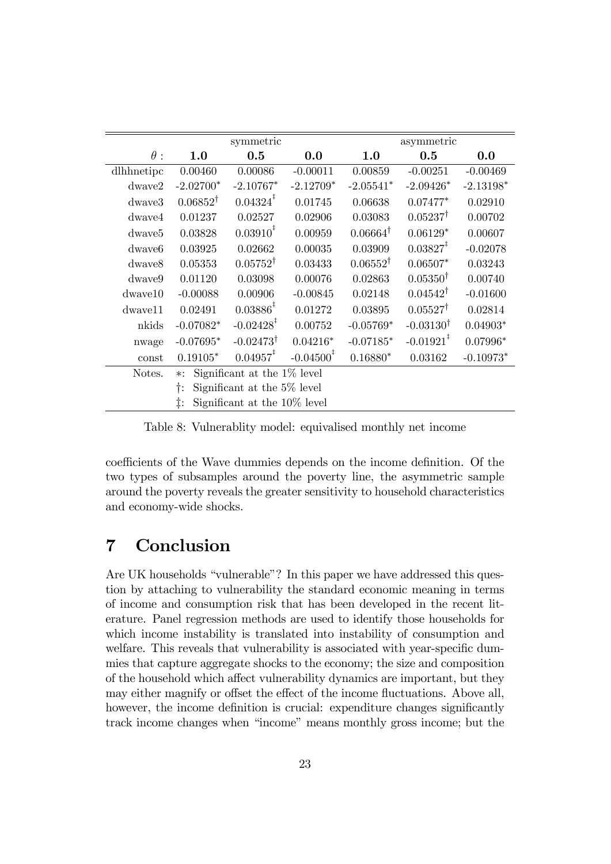|                    |                                            | symmetric                    |              |                     | asymmetric              |             |
|--------------------|--------------------------------------------|------------------------------|--------------|---------------------|-------------------------|-------------|
| $\theta:$          | 1.0                                        | 0.5                          | 0.0          | 1.0                 | 0.5                     | 0.0         |
| dlhhnetipc         | 0.00460                                    | 0.00086                      | $-0.00011$   | 0.00859             | $-0.00251$              | $-0.00469$  |
| $d$ wave $2$       | $-2.02700*$                                | $-2.10767*$                  | $-2.12709*$  | $-2.05541*$         | $-2.09426*$             | $-2.13198*$ |
| dwaye3             | $0.06852^{\dagger}$                        | $0.04324$ <sup>+</sup>       | 0.01745      | 0.06638             | $0.07477*$              | 0.02910     |
| dwaye4             | 0.01237                                    | 0.02527                      | 0.02906      | 0.03083             | $0.05237^{\dagger}$     | 0.00702     |
| dwaye <sub>5</sub> | 0.03828                                    | $0.03910^{\ddagger}$         | 0.00959      | $0.06664^{\dagger}$ | $0.06129*$              | 0.00607     |
| dwaye <sub>6</sub> | 0.03925                                    | 0.02662                      | 0.00035      | 0.03909             | $0.03827^*$             | $-0.02078$  |
| dwaye8             | 0.05353                                    | $0.05752^{\dagger}$          | 0.03433      | $0.06552^{\dagger}$ | $0.06507*$              | 0.03243     |
| dwaye9             | 0.01120                                    | 0.03098                      | 0.00076      | 0.02863             | $0.05350^{\dagger}$     | 0.00740     |
| $d$ waye $10$      | $-0.00088$                                 | 0.00906                      | $-0.00845$   | 0.02148             | $0.04542^{\dagger}$     | $-0.01600$  |
| dwaye11            | 0.02491                                    | $0.03886^{\ddagger}$         | 0.01272      | 0.03895             | $0.05527^{\dagger}$     | 0.02814     |
| nkids              | $-0.07082*$                                | $-0.02428$ <sup>‡</sup>      | 0.00752      | $-0.05769*$         | $-0.03130^{\dagger}$    | $0.04903*$  |
| nwage              | $-0.07695*$                                | $-0.02473^{\dagger}$         | $0.04216*$   | $-0.07185*$         | $-0.01921$ <sup>‡</sup> | $0.07996*$  |
| const              | $0.19105*$                                 | $0.04957^*$                  | $-0.04500^*$ | $0.16880*$          | 0.03162                 | $-0.10973*$ |
| Notes.             | Significant at the $1\%$ level<br>$\ast$ : |                              |              |                     |                         |             |
|                    | Significant at the $5\%$ level<br>†:       |                              |              |                     |                         |             |
|                    | ţ.                                         | Significant at the 10% level |              |                     |                         |             |

Table 8: Vulnerablity model: equivalised monthly net income

coefficients of the Wave dummies depends on the income definition. Of the two types of subsamples around the poverty line, the asymmetric sample around the poverty reveals the greater sensitivity to household characteristics and economy-wide shocks.

### 7 Conclusion

Are UK households "vulnerable"? In this paper we have addressed this question by attaching to vulnerability the standard economic meaning in terms of income and consumption risk that has been developed in the recent literature. Panel regression methods are used to identify those households for which income instability is translated into instability of consumption and welfare. This reveals that vulnerability is associated with year-specific dummies that capture aggregate shocks to the economy; the size and composition of the household which affect vulnerability dynamics are important, but they may either magnify or offset the effect of the income fluctuations. Above all, however, the income definition is crucial: expenditure changes significantly track income changes when "income" means monthly gross income; but the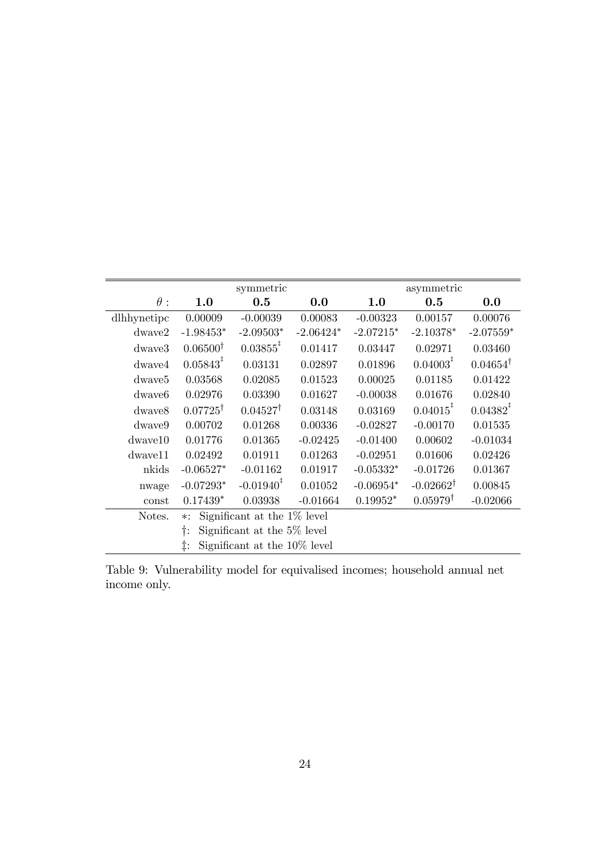|                    |                                          | symmetric                     |             |             | asymmetric              |                     |
|--------------------|------------------------------------------|-------------------------------|-------------|-------------|-------------------------|---------------------|
| $\theta$ :         | 1.0                                      | 0.5                           | 0.0         | 1.0         | 0.5                     | 0.0                 |
| dlhhynetipc        | 0.00009                                  | $-0.00039$                    | 0.00083     | $-0.00323$  | 0.00157                 | 0.00076             |
| $d$ waye $2$       | $-1.98453*$                              | $-2.09503*$                   | $-2.06424*$ | $-2.07215*$ | $-2.10378*$             | $-2.07559*$         |
| $d$ wave $3$       | $0.06500^{\dagger}$                      | $0.03855$ <sup>#</sup>        | 0.01417     | 0.03447     | 0.02971                 | 0.03460             |
| $d$ wave $4$       | $0.05843^{\ddagger}$                     | 0.03131                       | 0.02897     | 0.01896     | $0.04003^{\frac{1}{4}}$ | $0.04654^{\dagger}$ |
| dwaye <sub>5</sub> | 0.03568                                  | 0.02085                       | 0.01523     | 0.00025     | 0.01185                 | 0.01422             |
| dwaye <sub>6</sub> | 0.02976                                  | 0.03390                       | 0.01627     | $-0.00038$  | 0.01676                 | 0.02840             |
| dwaye8             | $0.07725^{\dagger}$                      | $0.04527^{\dagger}$           | 0.03148     | 0.03169     | $0.04015$ <sup>‡</sup>  | $0.04382^*$         |
| dwaye9             | 0.00702                                  | 0.01268                       | 0.00336     | $-0.02827$  | $-0.00170$              | 0.01535             |
| $d$ waye $10$      | 0.01776                                  | 0.01365                       | $-0.02425$  | $-0.01400$  | 0.00602                 | $-0.01034$          |
| dwaye11            | 0.02492                                  | 0.01911                       | 0.01263     | $-0.02951$  | 0.01606                 | 0.02426             |
| nkids              | $-0.06527*$                              | $-0.01162$                    | 0.01917     | $-0.05332*$ | $-0.01726$              | 0.01367             |
| nwage              | $-0.07293*$                              | $-0.01940^*$                  | 0.01052     | $-0.06954*$ | $-0.02662^{\dagger}$    | 0.00845             |
| const              | $0.17439*$                               | 0.03938                       | $-0.01664$  | $0.19952*$  | $0.05979^{\dagger}$     | $-0.02066$          |
| Notes.             | Significant at the 1\% level<br>$\ast$ : |                               |             |             |                         |                     |
|                    | t:                                       | Significant at the 5% level   |             |             |                         |                     |
|                    | ţ.                                       | Significant at the 10\% level |             |             |                         |                     |

Table 9: Vulnerability model for equivalised incomes; household annual net income only.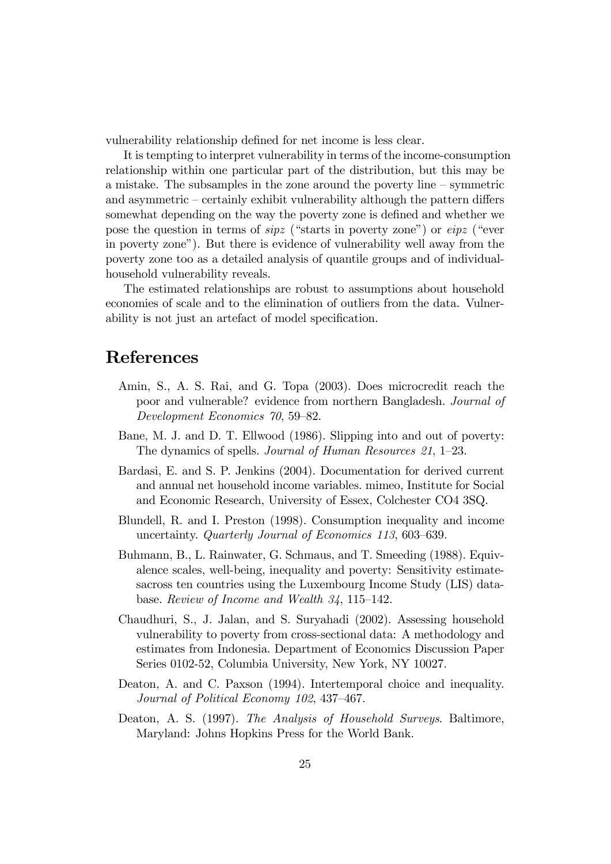vulnerability relationship defined for net income is less clear.

It is tempting to interpret vulnerability in terms of the income-consumption relationship within one particular part of the distribution, but this may be a mistake. The subsamples in the zone around the poverty line  $-$  symmetric and asymmetric  $\sim$  certainly exhibit vulnerability although the pattern differs somewhat depending on the way the poverty zone is defined and whether we pose the question in terms of  $\langle \hat{spz} \rangle$  ("starts in poverty zone") or  $\langle \hat{epz} \rangle$  ("ever in poverty zoneî). But there is evidence of vulnerability well away from the poverty zone too as a detailed analysis of quantile groups and of individualhousehold vulnerability reveals.

The estimated relationships are robust to assumptions about household economies of scale and to the elimination of outliers from the data. Vulnerability is not just an artefact of model specification.

### References

- Amin, S., A. S. Rai, and G. Topa (2003). Does microcredit reach the poor and vulnerable? evidence from northern Bangladesh. Journal of Development Economics 70, 59–82.
- Bane, M. J. and D. T. Ellwood (1986). Slipping into and out of poverty: The dynamics of spells. Journal of Human Resources  $21, 1-23$ .
- Bardasi, E. and S. P. Jenkins (2004). Documentation for derived current and annual net household income variables. mimeo, Institute for Social and Economic Research, University of Essex, Colchester CO4 3SQ.
- Blundell, R. and I. Preston (1998). Consumption inequality and income uncertainty. Quarterly Journal of Economics 113, 603–639.
- Buhmann, B., L. Rainwater, G. Schmaus, and T. Smeeding (1988). Equivalence scales, well-being, inequality and poverty: Sensitivity estimatesacross ten countries using the Luxembourg Income Study (LIS) database. Review of Income and Wealth  $34$ , 115–142.
- Chaudhuri, S., J. Jalan, and S. Suryahadi (2002). Assessing household vulnerability to poverty from cross-sectional data: A methodology and estimates from Indonesia. Department of Economics Discussion Paper Series 0102-52, Columbia University, New York, NY 10027.
- Deaton, A. and C. Paxson (1994). Intertemporal choice and inequality. Journal of Political Economy 102, 437-467.
- Deaton, A. S. (1997). The Analysis of Household Surveys. Baltimore, Maryland: Johns Hopkins Press for the World Bank.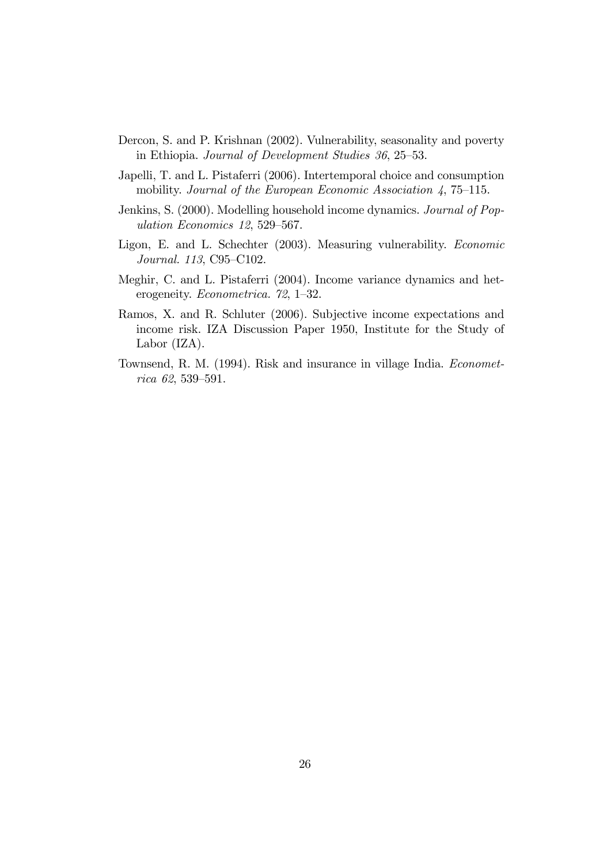- Dercon, S. and P. Krishnan (2002). Vulnerability, seasonality and poverty in Ethiopia. Journal of Development Studies 36, 25–53.
- Japelli, T. and L. Pistaferri (2006). Intertemporal choice and consumption mobility. Journal of the European Economic Association  $\lambda$ , 75–115.
- Jenkins, S. (2000). Modelling household income dynamics. Journal of Population Economics 12, 529-567.
- Ligon, E. and L. Schechter (2003). Measuring vulnerability. Economic Journal. 113, C95-C102.
- Meghir, C. and L. Pistaferri (2004). Income variance dynamics and heterogeneity. *Econometrica.* 72, 1-32.
- Ramos, X. and R. Schluter (2006). Subjective income expectations and income risk. IZA Discussion Paper 1950, Institute for the Study of Labor (IZA).
- Townsend, R. M. (1994). Risk and insurance in village India. Economet $rica 62, 539-591.$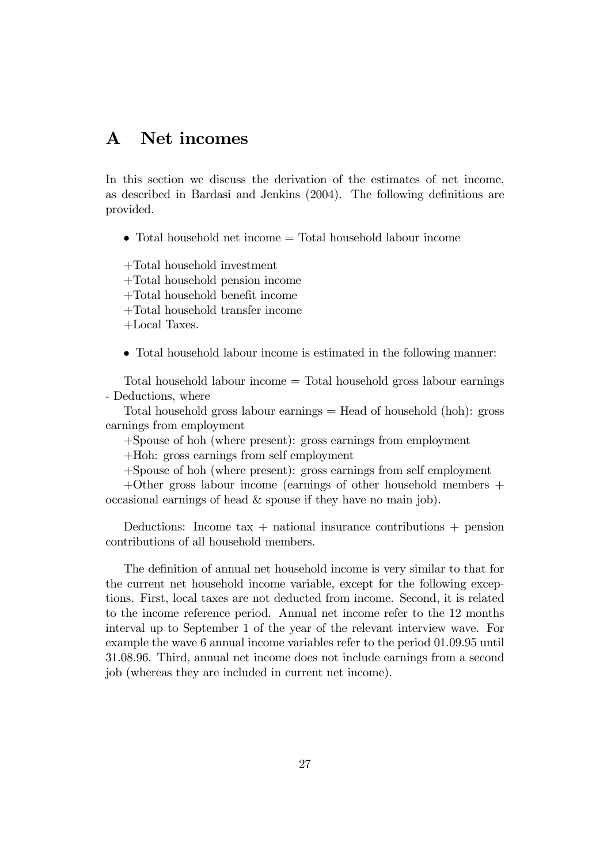### A Net incomes

In this section we discuss the derivation of the estimates of net income, as described in Bardasi and Jenkins (2004). The following definitions are provided.

Total household net income = Total household labour income

+Total household investment

+Total household pension income

+Total household benefit income

+Total household transfer income

+Local Taxes.

Total household labour income is estimated in the following manner:

Total household labour income = Total household gross labour earnings - Deductions, where

Total household gross labour earnings  $=$  Head of household (hoh): gross earnings from employment

+Spouse of hoh (where present): gross earnings from employment

+Hoh: gross earnings from self employment

+Spouse of hoh (where present): gross earnings from self employment

+Other gross labour income (earnings of other household members + occasional earnings of head & spouse if they have no main job).

Deductions: Income  $tax +$  national insurance contributions  $+$  pension contributions of all household members.

The definition of annual net household income is very similar to that for the current net household income variable, except for the following exceptions. First, local taxes are not deducted from income. Second, it is related to the income reference period. Annual net income refer to the 12 months interval up to September 1 of the year of the relevant interview wave. For example the wave 6 annual income variables refer to the period 01.09.95 until 31.08.96. Third, annual net income does not include earnings from a second job (whereas they are included in current net income).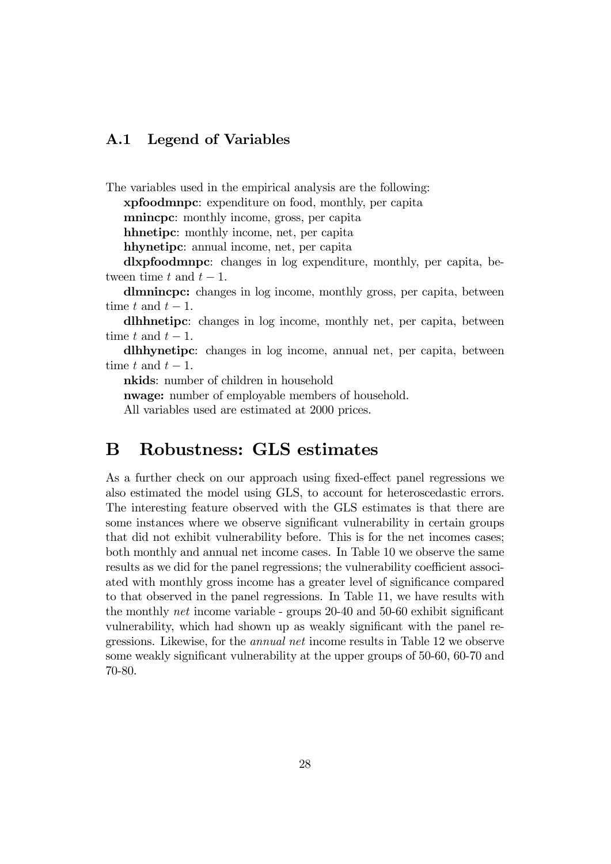#### A.1 Legend of Variables

The variables used in the empirical analysis are the following:

xpfoodmnpc: expenditure on food, monthly, per capita

mnincpc: monthly income, gross, per capita

hhnetipc: monthly income, net, per capita

hhynetipc: annual income, net, per capita

dlxpfoodmnpc: changes in log expenditure, monthly, per capita, between time t and  $t - 1$ .

dlmnincpc: changes in log income, monthly gross, per capita, between time t and  $t-1$ .

dlhhnetipc: changes in log income, monthly net, per capita, between time t and  $t-1$ .

dlhhynetipc: changes in log income, annual net, per capita, between time t and  $t-1$ .

nkids: number of children in household

nwage: number of employable members of household.

All variables used are estimated at 2000 prices.

### B Robustness: GLS estimates

As a further check on our approach using fixed-effect panel regressions we also estimated the model using GLS, to account for heteroscedastic errors. The interesting feature observed with the GLS estimates is that there are some instances where we observe significant vulnerability in certain groups that did not exhibit vulnerability before. This is for the net incomes cases; both monthly and annual net income cases. In Table 10 we observe the same results as we did for the panel regressions; the vulnerability coefficient associ-ated with monthly gross income has a greater level of significance compared to that observed in the panel regressions. In Table 11, we have results with the monthly *net* income variable - groups  $20-40$  and  $50-60$  exhibit significant vulnerability, which had shown up as weakly significant with the panel regressions. Likewise, for the annual net income results in Table 12 we observe some weakly significant vulnerability at the upper groups of  $50-60$ ,  $60-70$  and 70-80.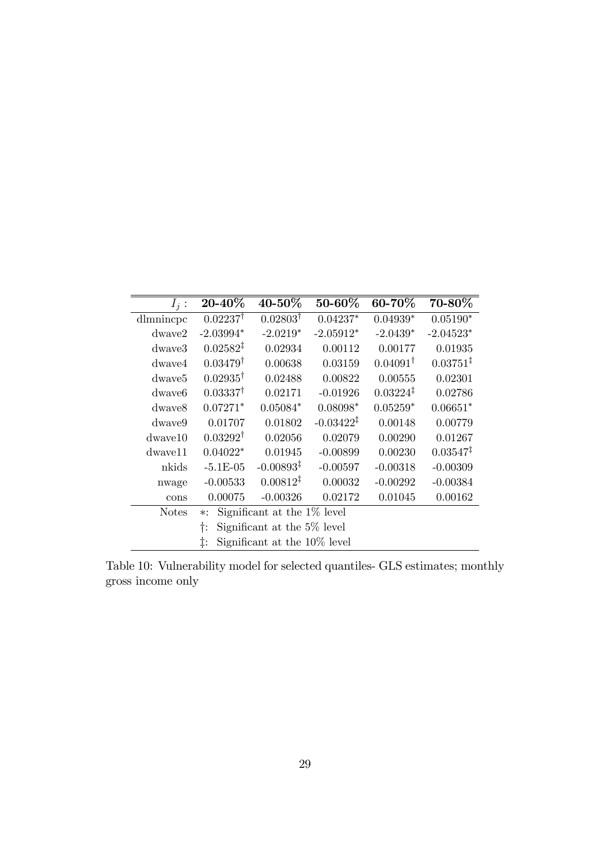| $I_i$ :            | 20-40%                                  | 40-50%                       | 50-60%                | 60-70%               | $70 - 80\%$          |  |
|--------------------|-----------------------------------------|------------------------------|-----------------------|----------------------|----------------------|--|
| dlmnincpc          | $0.02237^{\dagger}$                     | $0.02803^{\dagger}$          | $0.04237*$            | $0.04939*$           | $0.05190*$           |  |
| $d$ waye $2$       | $-2.03994*$                             | $-2.0219*$                   | $-2.05912*$           | $-2.0439*$           | $-2.04523*$          |  |
| dwaye3             | $0.02582^{\ddagger}$                    | 0.02934                      | 0.00112               | 0.00177              | 0.01935              |  |
| $d$ waye $4$       | $0.03479^{\dagger}$                     | 0.00638                      | 0.03159               | $0.04091^{\dagger}$  | $0.03751^{\ddagger}$ |  |
| dwaye <sub>5</sub> | $0.02935^{\dagger}$                     | 0.02488                      | 0.00822               | 0.00555              | 0.02301              |  |
| dwave <sub>6</sub> | $0.03337^{\dagger}$                     | 0.02171                      | $-0.01926$            | $0.03224^{\ddagger}$ | 0.02786              |  |
| dwaye8             | $0.07271*$                              | $0.05084*$                   | $0.08098*$            | $0.05259*$           | $0.06651*$           |  |
| $d$ waye $9$       | 0.01707                                 | 0.01802                      | $-0.03422^{\ddagger}$ | 0.00148              | 0.00779              |  |
| $d$ waye $10$      | $0.03292^{\dagger}$                     | 0.02056                      | 0.02079               | 0.00290              | 0.01267              |  |
| dwaye11            | $0.04022*$                              | 0.01945                      | $-0.00899$            | 0.00230              | $0.03547^{\ddagger}$ |  |
| nkids              | $-5.1E-05$                              | $-0.00893^{\ddagger}$        | $-0.00597$            | $-0.00318$           | $-0.00309$           |  |
| nwage              | $-0.00533$                              | $0.00812^{\ddagger}$         | 0.00032               | $-0.00292$           | $-0.00384$           |  |
| cons               | 0.00075                                 | $-0.00326$                   | 0.02172               | 0.01045              | 0.00162              |  |
| <b>Notes</b>       | Significant at the 1% level<br>$\ast$ : |                              |                       |                      |                      |  |
|                    | Significant at the 5% level<br>Ť:       |                              |                       |                      |                      |  |
|                    | ţ.                                      | Significant at the 10% level |                       |                      |                      |  |

Table 10: Vulnerability model for selected quantiles- GLS estimates; monthly gross income only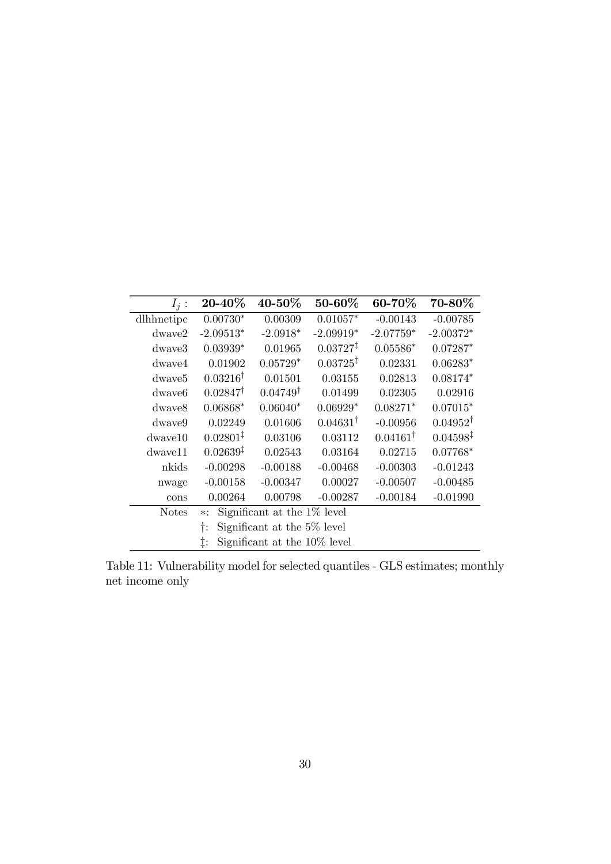| $I_i$ :            | 20-40%                            | 40-50%                         | 50-60%               | 60-70%              | 70-80%               |  |
|--------------------|-----------------------------------|--------------------------------|----------------------|---------------------|----------------------|--|
| dlhhnetipc         | $0.00730*$                        | 0.00309                        | $0.01057*$           | $-0.00143$          | $-0.00785$           |  |
| $d$ waye $2$       | $-2.09513*$                       | $-2.0918*$                     | $-2.09919*$          | $-2.07759*$         | $-2.00372*$          |  |
| $d$ waye $3$       | $0.03939*$                        | 0.01965                        | $0.03727^{\ddagger}$ | $0.05586*$          | $0.07287*$           |  |
| $d$ waye $4$       | 0.01902                           | $0.05729*$                     | $0.03725^{\ddagger}$ | 0.02331             | $0.06283*$           |  |
| dwave <sub>5</sub> | $0.03216^{\dagger}$               | 0.01501                        | 0.03155              | 0.02813             | $0.08174*$           |  |
| dwaye <sub>6</sub> | $0.02847^{\dagger}$               | $0.04749^{\dagger}$            | 0.01499              | 0.02305             | 0.02916              |  |
| dwaye8             | $0.06868*$                        | $0.06040*$                     | $0.06929*$           | $0.08271*$          | $0.07015*$           |  |
| $d$ waye $9$       | 0.02249                           | 0.01606                        | $0.04631^{\dagger}$  | $-0.00956$          | $0.04952^{\dagger}$  |  |
| $d$ wave $10$      | $0.02801^{\ddagger}$              | 0.03106                        | 0.03112              | $0.04161^{\dagger}$ | $0.04598^{\ddagger}$ |  |
| dwaye11            | $0.02639^{\ddagger}$              | 0.02543                        | 0.03164              | 0.02715             | $0.07768*$           |  |
| nkids              | $-0.00298$                        | $-0.00188$                     | $-0.00468$           | $-0.00303$          | $-0.01243$           |  |
| nwage              | $-0.00158$                        | $-0.00347$                     | 0.00027              | $-0.00507$          | $-0.00485$           |  |
| cons               | 0.00264                           | 0.00798                        | $-0.00287$           | $-0.00184$          | $-0.01990$           |  |
| <b>Notes</b>       | ∗:                                | Significant at the $1\%$ level |                      |                     |                      |  |
|                    | Significant at the 5% level<br>t: |                                |                      |                     |                      |  |
|                    | ţ.                                | Significant at the 10% level   |                      |                     |                      |  |

Table 11: Vulnerability model for selected quantiles - GLS estimates; monthly net income only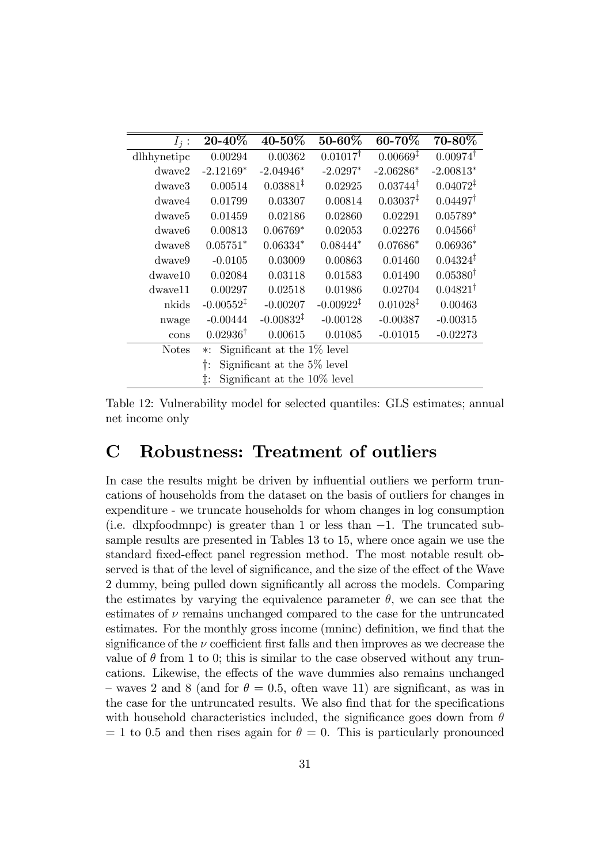| $I_i$ :            | 20-40%                                     | 40-50%                | 50-60%                | 60-70%               | 70-80%               |  |  |
|--------------------|--------------------------------------------|-----------------------|-----------------------|----------------------|----------------------|--|--|
| dlhhynetipc        | 0.00294                                    | 0.00362               | $0.01017^{\dagger}$   | $0.00669^{\ddagger}$ | $0.00974^{\dagger}$  |  |  |
| $d$ waye $2$       | $-2.12169*$                                | $-2.04946*$           | $-2.0297*$            | $-2.06286*$          | $-2.00813*$          |  |  |
| dwaye3             | 0.00514                                    | $0.03881^{\ddagger}$  | 0.02925               | $0.03744^{\dagger}$  | $0.04072^{\ddagger}$ |  |  |
| $d$ waye $4$       | 0.01799                                    | 0.03307               | 0.00814               | 0.03037 <sup>‡</sup> | $0.04497^{\dagger}$  |  |  |
| dwaye <sub>5</sub> | 0.01459                                    | 0.02186               | 0.02860               | 0.02291              | $0.05789*$           |  |  |
| dwave <sub>6</sub> | 0.00813                                    | $0.06769*$            | 0.02053               | 0.02276              | $0.04566^{\dagger}$  |  |  |
| dwaye8             | $0.05751*$                                 | $0.06334*$            | $0.08444*$            | $0.07686*$           | $0.06936*$           |  |  |
| dwaye9             | $-0.0105$                                  | 0.03009               | 0.00863               | 0.01460              | $0.04324^{\ddagger}$ |  |  |
| $d$ waye $10$      | 0.02084                                    | 0.03118               | 0.01583               | 0.01490              | $0.05380^{\dagger}$  |  |  |
| dwaye11            | 0.00297                                    | 0.02518               | 0.01986               | 0.02704              | $0.04821^{\dagger}$  |  |  |
| nkids              | $-0.00552^{\ddagger}$                      | $-0.00207$            | $-0.00922^{\ddagger}$ | $0.01028^{\ddagger}$ | 0.00463              |  |  |
| nwage              | $-0.00444$                                 | $-0.00832^{\ddagger}$ | $-0.00128$            | $-0.00387$           | $-0.00315$           |  |  |
| cons               | $0.02936^{\dagger}$                        | 0.00615               | 0.01085               | $-0.01015$           | $-0.02273$           |  |  |
| <b>Notes</b>       | Significant at the $1\%$ level<br>$\ast$ : |                       |                       |                      |                      |  |  |
|                    | Significant at the 5% level<br>Ť:          |                       |                       |                      |                      |  |  |
|                    | Significant at the 10% level<br>‡:         |                       |                       |                      |                      |  |  |

Table 12: Vulnerability model for selected quantiles: GLS estimates; annual net income only

### C Robustness: Treatment of outliers

In case the results might be driven by influential outliers we perform truncations of households from the dataset on the basis of outliers for changes in expenditure - we truncate households for whom changes in log consumption (i.e. dlxpfoodmnpc) is greater than 1 or less than  $-1$ . The truncated subsample results are presented in Tables 13 to 15, where once again we use the standard fixed-effect panel regression method. The most notable result observed is that of the level of significance, and the size of the effect of the Wave 2 dummy, being pulled down significantly all across the models. Comparing the estimates by varying the equivalence parameter  $\theta$ , we can see that the estimates of  $\nu$  remains unchanged compared to the case for the untruncated estimates. For the monthly gross income (mninc) definition, we find that the significance of the  $\nu$  coefficient first falls and then improves as we decrease the value of  $\theta$  from 1 to 0; this is similar to the case observed without any truncations. Likewise, the effects of the wave dummies also remains unchanged  $\sim$  waves 2 and 8 (and for  $\theta = 0.5$ , often wave 11) are significant, as was in the case for the untruncated results. We also find that for the specifications with household characteristics included, the significance goes down from  $\theta$  $= 1$  to 0.5 and then rises again for  $\theta = 0$ . This is particularly pronounced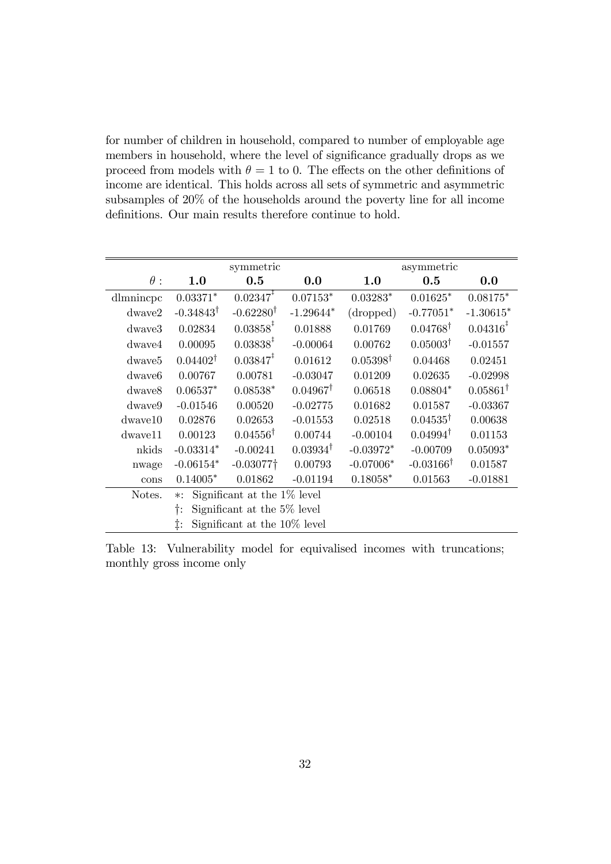for number of children in household, compared to number of employable age members in household, where the level of significance gradually drops as we proceed from models with  $\theta = 1$  to 0. The effects on the other definitions of income are identical. This holds across all sets of symmetric and asymmetric subsamples of 20% of the households around the poverty line for all income definitions. Our main results therefore continue to hold.

|                    | symmetric                               |                         |                     | asymmetric          |                      |                         |  |
|--------------------|-----------------------------------------|-------------------------|---------------------|---------------------|----------------------|-------------------------|--|
| $\theta$ :         | 1.0                                     | 0.5                     | 0.0                 | 1.0                 | 0.5                  | 0.0                     |  |
| dlmnincpc          | $0.03371*$                              | $0.02347^{\ddagger}$    | $0.07153*$          | $0.03283*$          | $0.01625*$           | $0.08175*$              |  |
| dwave2             | $-0.34843^{\dagger}$                    | $-0.62280^{\dagger}$    | $-1.29644*$         | (dropped)           | $-0.77051*$          | $-1.30615*$             |  |
| dwaye3             | 0.02834                                 | $0.03858^*$             | 0.01888             | 0.01769             | $0.04768^{\dagger}$  | $0.04316^{\frac{1}{4}}$ |  |
| $d$ waye $4$       | 0.00095                                 | $0.03838^{\ddagger}$    | $-0.00064$          | 0.00762             | $0.05003^{\dagger}$  | $-0.01557$              |  |
| dwave <sub>5</sub> | $0.04402^{\dagger}$                     | $0.03847^*$             | 0.01612             | $0.05398^{\dagger}$ | 0.04468              | 0.02451                 |  |
| dwave <sub>6</sub> | 0.00767                                 | 0.00781                 | $-0.03047$          | 0.01209             | 0.02635              | $-0.02998$              |  |
| dwave8             | $0.06537*$                              | $0.08538*$              | $0.04967^{\dagger}$ | 0.06518             | $0.08804*$           | $0.05861^{\dagger}$     |  |
| $d$ waye $9$       | $-0.01546$                              | 0.00520                 | $-0.02775$          | 0.01682             | 0.01587              | $-0.03367$              |  |
| $d$ wave $10$      | 0.02876                                 | 0.02653                 | $-0.01553$          | 0.02518             | $0.04535^{\dagger}$  | 0.00638                 |  |
| $d$ wave $11$      | 0.00123                                 | $0.04556^{\dagger}$     | 0.00744             | $-0.00104$          | $0.04994^{\dagger}$  | 0.01153                 |  |
| nkids              | $-0.03314*$                             | $-0.00241$              | $0.03934^{\dagger}$ | $-0.03972*$         | $-0.00709$           | $0.05093*$              |  |
| nwage              | $-0.06154*$                             | $-0.03077$ <sup>+</sup> | 0.00793             | $-0.07006*$         | $-0.03166^{\dagger}$ | 0.01587                 |  |
| cons               | $0.14005*$                              | 0.01862                 | $-0.01194$          | $0.18058*$          | 0.01563              | $-0.01881$              |  |
| Notes.             | Significant at the 1% level<br>$\ast$ : |                         |                     |                     |                      |                         |  |
|                    | Significant at the 5% level<br>Ť:       |                         |                     |                     |                      |                         |  |
|                    | Significant at the 10\% level<br>‡.     |                         |                     |                     |                      |                         |  |

Table 13: Vulnerability model for equivalised incomes with truncations; monthly gross income only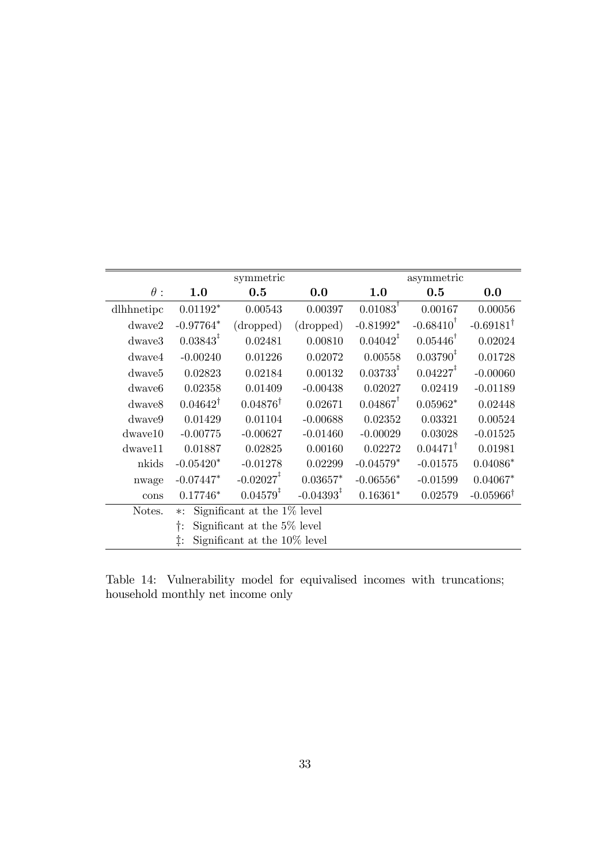|                    | symmetric                                |                         |                          | asymmetric              |                         |                      |  |
|--------------------|------------------------------------------|-------------------------|--------------------------|-------------------------|-------------------------|----------------------|--|
| $\theta$ :         | 1.0                                      | 0.5                     | 0.0                      | 1.0                     | 0.5                     | 0.0                  |  |
| dlhhnetipc         | $0.01192*$                               | 0.00543                 | 0.00397                  | $0.01083$ <sup>T</sup>  | 0.00167                 | 0.00056              |  |
| $d$ wave $2$       | $-0.97764*$                              | (dropped)               | (dropped)                | $-0.81992*$             | $-0.68410$ <sup>T</sup> | $-0.69181^{\dagger}$ |  |
| $d$ wave $3$       | $0.03843^*$                              | 0.02481                 | 0.00810                  | $0.04042^*$             | $0.05446^{\dagger}$     | 0.02024              |  |
| $d$ waye $4$       | $-0.00240$                               | 0.01226                 | 0.02072                  | 0.00558                 | $0.03790^{1}$           | 0.01728              |  |
| dwave <sub>5</sub> | 0.02823                                  | 0.02184                 | 0.00132                  | $0.03733^{\frac{1}{4}}$ | $0.04227$ <sup>†</sup>  | $-0.00060$           |  |
| dwave <sub>6</sub> | 0.02358                                  | 0.01409                 | $-0.00438$               | 0.02027                 | 0.02419                 | $-0.01189$           |  |
| $d$ waye $8$       | $0.04642^{\dagger}$                      | $0.04876^{\dagger}$     | 0.02671                  | $0.04867$ <sup>T</sup>  | $0.05962*$              | 0.02448              |  |
| dwaye9             | 0.01429                                  | 0.01104                 | $-0.00688$               | 0.02352                 | 0.03321                 | 0.00524              |  |
| $d$ wave $10$      | $-0.00775$                               | $-0.00627$              | $-0.01460$               | $-0.00029$              | 0.03028                 | $-0.01525$           |  |
| $d$ wave $11$      | 0.01887                                  | 0.02825                 | 0.00160                  | 0.02272                 | $0.04471^{\dagger}$     | 0.01981              |  |
| nkids              | $-0.05420*$                              | $-0.01278$              | 0.02299                  | $-0.04579*$             | $-0.01575$              | $0.04086*$           |  |
| nwage              | $-0.07447*$                              | $-0.02027$ <sup>+</sup> | $0.03657*$               | $-0.06556*$             | $-0.01599$              | $0.04067*$           |  |
| cons               | $0.17746*$                               | $0.04579^{\ddagger}$    | $-0.04393^{\frac{1}{4}}$ | $0.16361*$              | 0.02579                 | $-0.05966^{\dagger}$ |  |
| Notes.             | Significant at the 1\% level<br>$\ast$ : |                         |                          |                         |                         |                      |  |
|                    | Significant at the 5% level              |                         |                          |                         |                         |                      |  |
|                    | Significant at the 10\% level<br>İ.      |                         |                          |                         |                         |                      |  |

Table 14: Vulnerability model for equivalised incomes with truncations; household monthly net income only